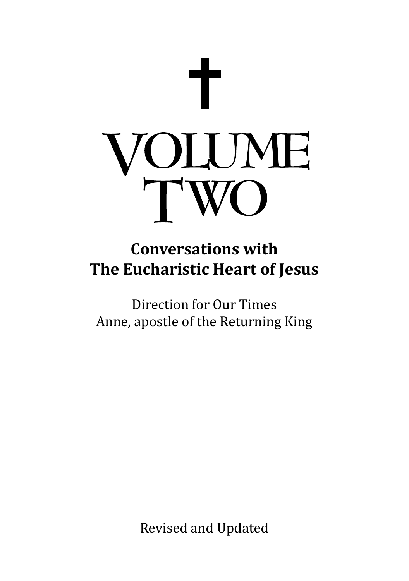

# **Conversations with The Eucharistic Heart of Jesus**

Direction for Our Times Anne, apostle of the Returning King

Revised and Updated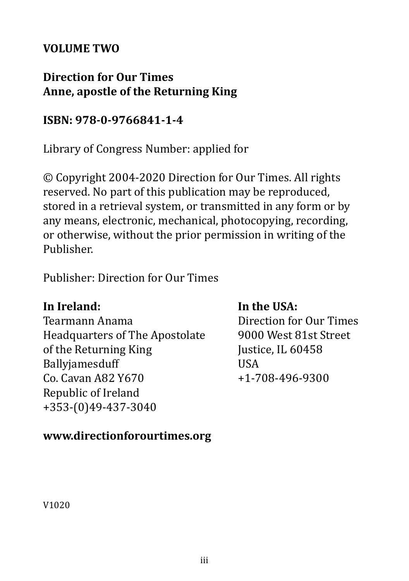#### **VOLUME TWO**

#### **Direction for Our Times Anne, apostle of the Returning King**

#### **ISBN: 978-0-9766841-1-4**

Library of Congress Number: applied for

© Copyright 2004-2020 Direction for Our Times. All rights reserved. No part of this publication may be reproduced, stored in a retrieval system, or transmitted in any form or by any means, electronic, mechanical, photocopying, recording, or otherwise, without the prior permission in writing of the Publisher.

Publisher: Direction for Our Times

Tearmann Anama<br>
Headquarters of The Apostolate 9000 West 81st Street Headquarters of The Apostolate 9000 West 81st S<br>of the Returning King Fig. 1 and Sustice, IL 60458 of the Returning King The Susting of the Returning King Theorem IISA Ballyjamesduff USA Co. Cavan A82 Y670 Republic of Ireland +353-(0)49-437-3040

#### **In Ireland: In the USA:**

#### **www.directionforourtimes.org**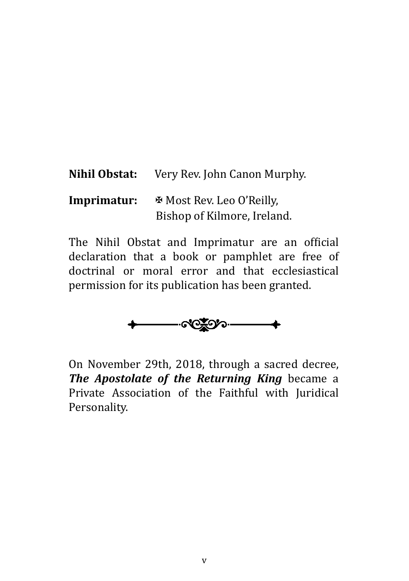| Nihil Obstat: | Very Rev. John Canon Murphy.                             |
|---------------|----------------------------------------------------------|
| Imprimatur:   | * Most Rev. Leo O'Reilly,<br>Bishop of Kilmore, Ireland. |

The Nihil Obstat and Imprimatur are an official declaration that a book or pamphlet are free of doctrinal or moral error and that ecclesiastical permission for its publication has been granted.



On November 29th, 2018, through a sacred decree, *The Apostolate of the Returning King* became a Private Association of the Faithful with Juridical Personality.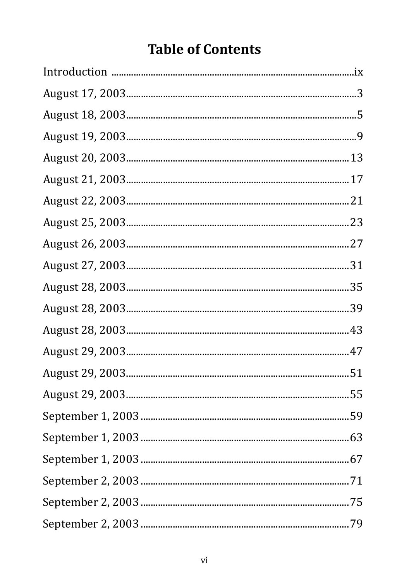#### **Table of Contents**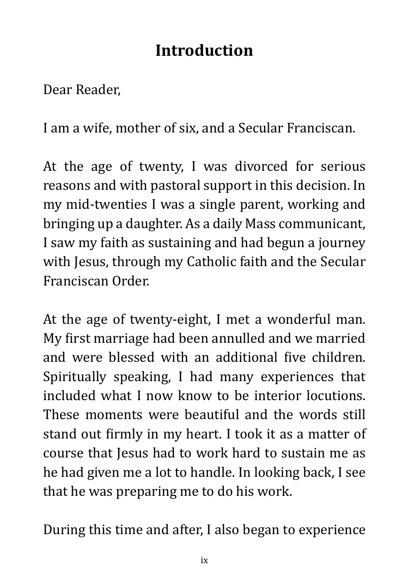# **Introduction**

Dear Reader,

I am a wife, mother of six, and a Secular Franciscan.

At the age of twenty, I was divorced for serious reasons and with pastoral support in this decision. In my mid-twenties I was a single parent, working and bringing up a daughter. As a daily Mass communicant, I saw my faith as sustaining and had begun a journey with Jesus, through my Catholic faith and the Secular Franciscan Order.

At the age of twenty-eight, I met a wonderful man. My first marriage had been annulled and we married and were blessed with an additional five children. Spiritually speaking, I had many experiences that included what I now know to be interior locutions. These moments were beautiful and the words still stand out firmly in my heart. I took it as a matter of course that Jesus had to work hard to sustain me as he had given me a lot to handle. In looking back, I see that he was preparing me to do his work.

During this time and after, I also began to experience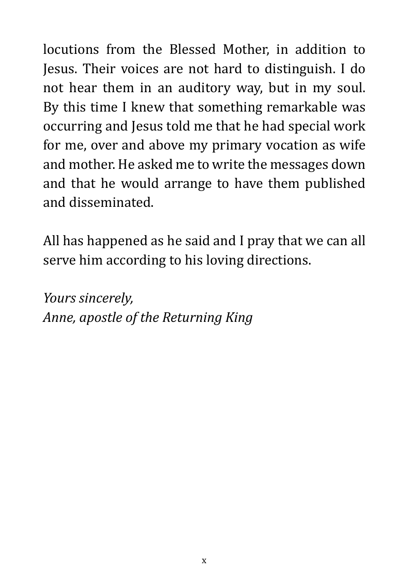locutions from the Blessed Mother, in addition to Jesus. Their voices are not hard to distinguish. I do not hear them in an auditory way, but in my soul. By this time I knew that something remarkable was occurring and Jesus told me that he had special work for me, over and above my primary vocation as wife and mother. He asked me to write the messages down and that he would arrange to have them published and disseminated.

All has happened as he said and I pray that we can all serve him according to his loving directions.

*Yours sincerely, Anne, apostle of the Returning King*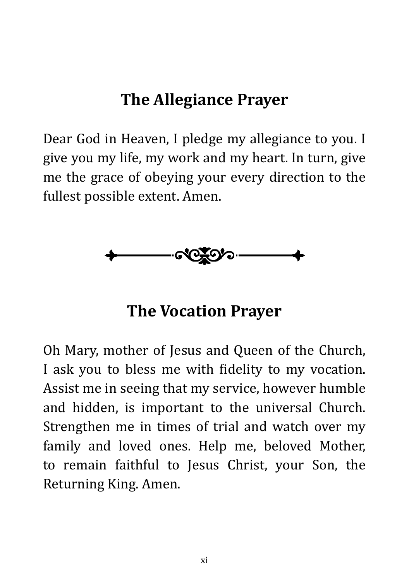#### **The Allegiance Prayer**

Dear God in Heaven, I pledge my allegiance to you. I give you my life, my work and my heart. In turn, give me the grace of obeying your every direction to the fullest possible extent. Amen.



#### **The Vocation Prayer**

Oh Mary, mother of Jesus and Queen of the Church, I ask you to bless me with fidelity to my vocation. Assist me in seeing that my service, however humble and hidden, is important to the universal Church. Strengthen me in times of trial and watch over my family and loved ones. Help me, beloved Mother, to remain faithful to Jesus Christ, your Son, the Returning King. Amen.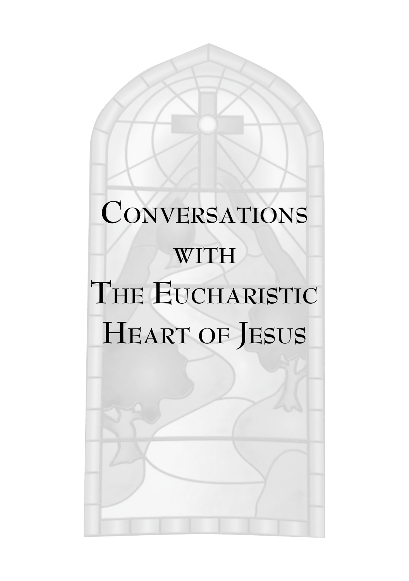# **Conversations with The Eucharistic Heart of Jesus**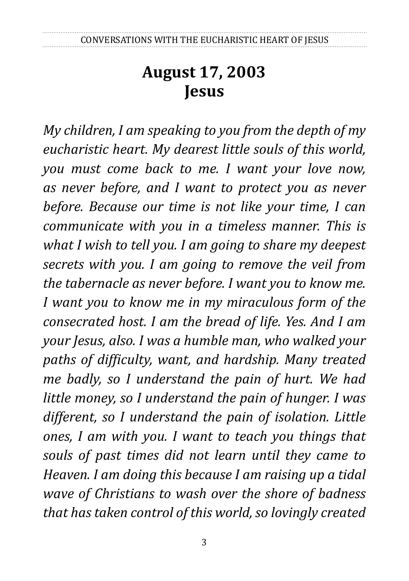# **August 17, 2003 Jesus**

*My children, I am speaking to you from the depth of my eucharistic heart. My dearest little souls of this world, you must come back to me. I want your love now, as never before, and I want to protect you as never before. Because our time is not like your time, I can communicate with you in a timeless manner. This is what I wish to tell you. I am going to share my deepest secrets with you. I am going to remove the veil from the tabernacle as never before. I want you to know me. I want you to know me in my miraculous form of the consecrated host. I am the bread of life. Yes. And I am your Jesus, also. I was a humble man, who walked your paths of difficulty, want, and hardship. Many treated me badly, so I understand the pain of hurt. We had little money, so I understand the pain of hunger. I was different, so I understand the pain of isolation. Little ones, I am with you. I want to teach you things that souls of past times did not learn until they came to Heaven. I am doing this because I am raising up a tidal wave of Christians to wash over the shore of badness that has taken control of this world, so lovingly created*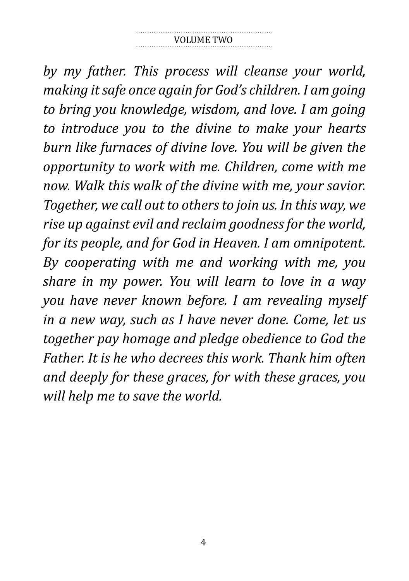#### volume two . . . . . . . . . . . . . . . . . . . .

*by my father. This process will cleanse your world, making it safe once again for God's children. I am going to bring you knowledge, wisdom, and love. I am going to introduce you to the divine to make your hearts burn like furnaces of divine love. You will be given the opportunity to work with me. Children, come with me now. Walk this walk of the divine with me, your savior. Together, we call out to others to join us. In this way, we rise up against evil and reclaim goodness for the world, for its people, and for God in Heaven. I am omnipotent. By cooperating with me and working with me, you share in my power. You will learn to love in a way you have never known before. I am revealing myself in a new way, such as I have never done. Come, let us together pay homage and pledge obedience to God the Father. It is he who decrees this work. Thank him often and deeply for these graces, for with these graces, you will help me to save the world.*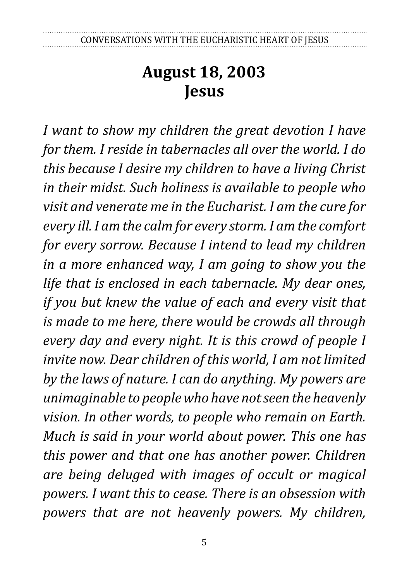# **August 18, 2003 Jesus**

*I want to show my children the great devotion I have for them. I reside in tabernacles all over the world. I do this because I desire my children to have a living Christ in their midst. Such holiness is available to people who visit and venerate me in the Eucharist. I am the cure for every ill. I am the calm for every storm. I am the comfort for every sorrow. Because I intend to lead my children in a more enhanced way, I am going to show you the life that is enclosed in each tabernacle. My dear ones, if you but knew the value of each and every visit that is made to me here, there would be crowds all through every day and every night. It is this crowd of people I invite now. Dear children of this world, I am not limited by the laws of nature. I can do anything. My powers are unimaginable to people who have not seen the heavenly vision. In other words, to people who remain on Earth. Much is said in your world about power. This one has this power and that one has another power. Children are being deluged with images of occult or magical powers. I want this to cease. There is an obsession with powers that are not heavenly powers. My children,*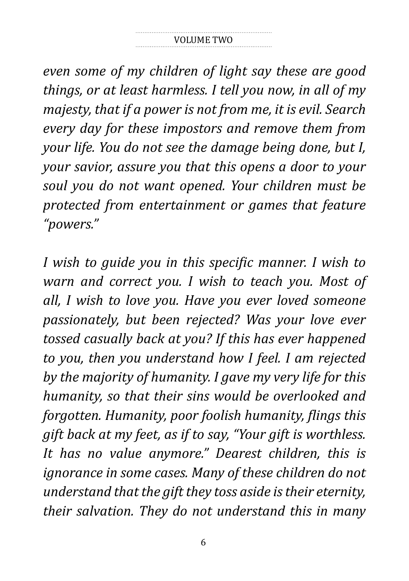*even some of my children of light say these are good things, or at least harmless. I tell you now, in all of my majesty, that if a power is not from me, it is evil. Search every day for these impostors and remove them from your life. You do not see the damage being done, but I, your savior, assure you that this opens a door to your soul you do not want opened. Your children must be protected from entertainment or games that feature "powers."*

*I wish to guide you in this specific manner. I wish to warn and correct you. I wish to teach you. Most of all, I wish to love you. Have you ever loved someone passionately, but been rejected? Was your love ever tossed casually back at you? If this has ever happened to you, then you understand how I feel. I am rejected by the majority of humanity. I gave my very life for this humanity, so that their sins would be overlooked and forgotten. Humanity, poor foolish humanity, flings this gift back at my feet, as if to say, "Your gift is worthless. It has no value anymore." Dearest children, this is ignorance in some cases. Many of these children do not understand that the gift they toss aside is their eternity, their salvation. They do not understand this in many*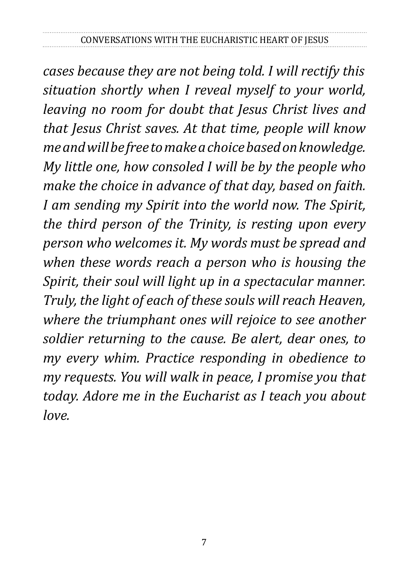*cases because they are not being told. I will rectify this situation shortly when I reveal myself to your world, leaving no room for doubt that Jesus Christ lives and that Jesus Christ saves. At that time, people will know me and will be free to make a choice based on knowledge. My little one, how consoled I will be by the people who make the choice in advance of that day, based on faith. I am sending my Spirit into the world now. The Spirit, the third person of the Trinity, is resting upon every person who welcomes it. My words must be spread and when these words reach a person who is housing the Spirit, their soul will light up in a spectacular manner. Truly, the light of each of these souls will reach Heaven, where the triumphant ones will rejoice to see another soldier returning to the cause. Be alert, dear ones, to my every whim. Practice responding in obedience to my requests. You will walk in peace, I promise you that today. Adore me in the Eucharist as I teach you about love.*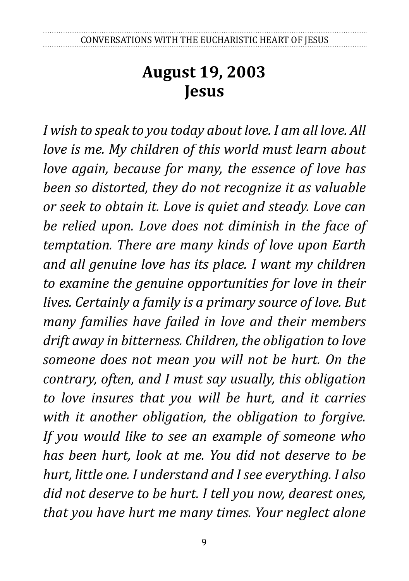# **August 19, 2003 Jesus**

*I wish to speak to you today about love. I am all love. All love is me. My children of this world must learn about love again, because for many, the essence of love has been so distorted, they do not recognize it as valuable or seek to obtain it. Love is quiet and steady. Love can be relied upon. Love does not diminish in the face of temptation. There are many kinds of love upon Earth and all genuine love has its place. I want my children to examine the genuine opportunities for love in their lives. Certainly a family is a primary source of love. But many families have failed in love and their members drift away in bitterness. Children, the obligation to love someone does not mean you will not be hurt. On the contrary, often, and I must say usually, this obligation to love insures that you will be hurt, and it carries with it another obligation, the obligation to forgive. If you would like to see an example of someone who has been hurt, look at me. You did not deserve to be hurt, little one. I understand and I see everything. I also did not deserve to be hurt. I tell you now, dearest ones, that you have hurt me many times. Your neglect alone*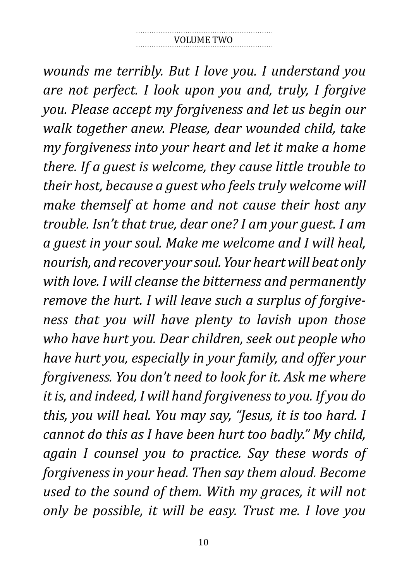*wounds me terribly. But I love you. I understand you are not perfect. I look upon you and, truly, I forgive you. Please accept my forgiveness and let us begin our walk together anew. Please, dear wounded child, take my forgiveness into your heart and let it make a home there. If a guest is welcome, they cause little trouble to their host, because a guest who feels truly welcome will make themself at home and not cause their host any trouble. Isn't that true, dear one? I am your guest. I am a guest in your soul. Make me welcome and I will heal, nourish, and recover your soul. Your heart will beat only with love. I will cleanse the bitterness and permanently remove the hurt. I will leave such a surplus of forgiveness that you will have plenty to lavish upon those who have hurt you. Dear children, seek out people who have hurt you, especially in your family, and offer your forgiveness. You don't need to look for it. Ask me where it is, and indeed, I will hand forgiveness to you. If you do this, you will heal. You may say, "Jesus, it is too hard. I cannot do this as I have been hurt too badly." My child, again I counsel you to practice. Say these words of forgiveness in your head. Then say them aloud. Become used to the sound of them. With my graces, it will not only be possible, it will be easy. Trust me. I love you*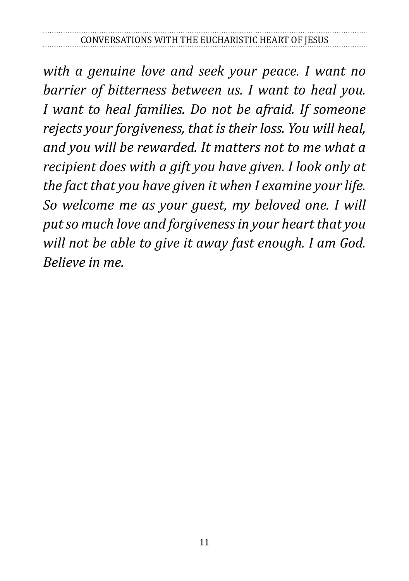*with a genuine love and seek your peace. I want no barrier of bitterness between us. I want to heal you. I want to heal families. Do not be afraid. If someone rejects your forgiveness, that is their loss. You will heal, and you will be rewarded. It matters not to me what a recipient does with a gift you have given. I look only at the fact that you have given it when I examine your life. So welcome me as your guest, my beloved one. I will put so much love and forgiveness in your heart that you will not be able to give it away fast enough. I am God. Believe in me.*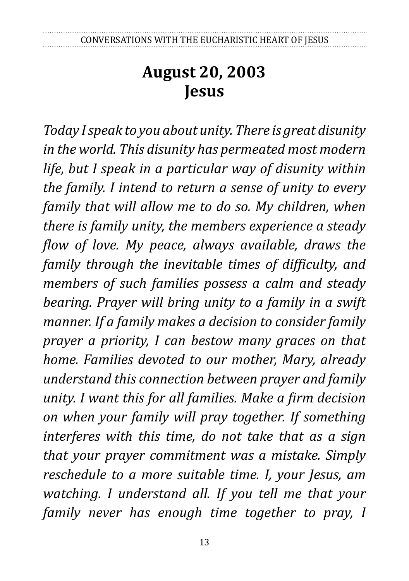# **August 20, 2003 Jesus**

*Today I speak to you about unity. There is great disunity in the world. This disunity has permeated most modern life, but I speak in a particular way of disunity within the family. I intend to return a sense of unity to every family that will allow me to do so. My children, when there is family unity, the members experience a steady flow of love. My peace, always available, draws the family through the inevitable times of difficulty, and members of such families possess a calm and steady bearing. Prayer will bring unity to a family in a swift manner. If a family makes a decision to consider family prayer a priority, I can bestow many graces on that home. Families devoted to our mother, Mary, already understand this connection between prayer and family unity. I want this for all families. Make a firm decision on when your family will pray together. If something interferes with this time, do not take that as a sign that your prayer commitment was a mistake. Simply reschedule to a more suitable time. I, your Jesus, am watching. I understand all. If you tell me that your family never has enough time together to pray, I*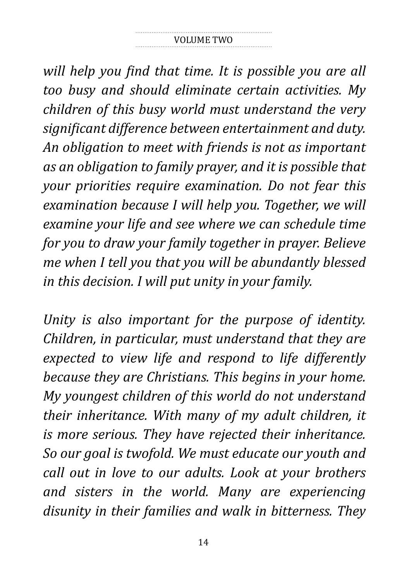*will help you find that time. It is possible you are all too busy and should eliminate certain activities. My children of this busy world must understand the very significant difference between entertainment and duty. An obligation to meet with friends is not as important as an obligation to family prayer, and it is possible that your priorities require examination. Do not fear this examination because I will help you. Together, we will examine your life and see where we can schedule time for you to draw your family together in prayer. Believe me when I tell you that you will be abundantly blessed in this decision. I will put unity in your family.*

*Unity is also important for the purpose of identity. Children, in particular, must understand that they are expected to view life and respond to life differently because they are Christians. This begins in your home. My youngest children of this world do not understand their inheritance. With many of my adult children, it is more serious. They have rejected their inheritance. So our goal is twofold. We must educate our youth and call out in love to our adults. Look at your brothers and sisters in the world. Many are experiencing disunity in their families and walk in bitterness. They*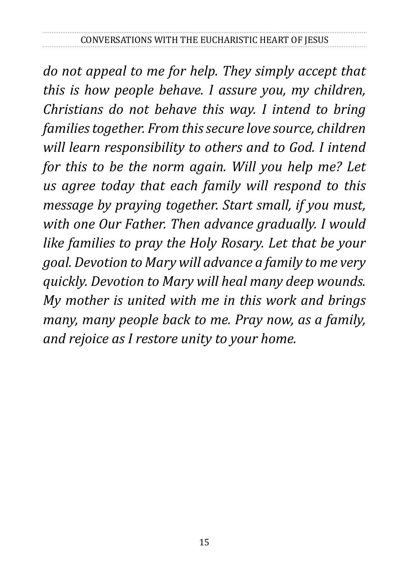*do not appeal to me for help. They simply accept that this is how people behave. I assure you, my children, Christians do not behave this way. I intend to bring families together. From this secure love source, children will learn responsibility to others and to God. I intend for this to be the norm again. Will you help me? Let us agree today that each family will respond to this message by praying together. Start small, if you must, with one Our Father. Then advance gradually. I would like families to pray the Holy Rosary. Let that be your goal. Devotion to Mary will advance a family to me very quickly. Devotion to Mary will heal many deep wounds. My mother is united with me in this work and brings many, many people back to me. Pray now, as a family, and rejoice as I restore unity to your home.*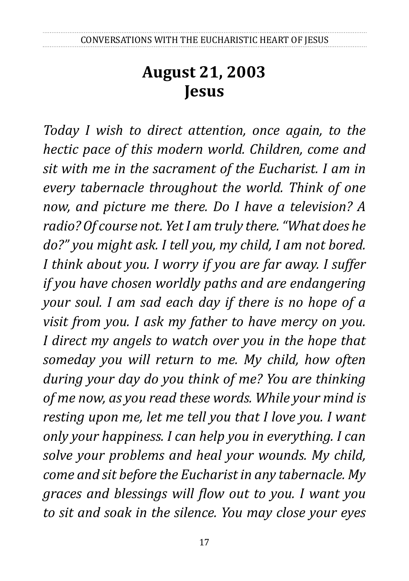#### **August 21, 2003 Jesus**

*Today I wish to direct attention, once again, to the hectic pace of this modern world. Children, come and sit with me in the sacrament of the Eucharist. I am in every tabernacle throughout the world. Think of one now, and picture me there. Do I have a television? A radio? Of course not. Yet I am truly there. "What does he do?" you might ask. I tell you, my child, I am not bored. I think about you. I worry if you are far away. I suffer if you have chosen worldly paths and are endangering your soul. I am sad each day if there is no hope of a visit from you. I ask my father to have mercy on you. I direct my angels to watch over you in the hope that someday you will return to me. My child, how often during your day do you think of me? You are thinking of me now, as you read these words. While your mind is resting upon me, let me tell you that I love you. I want only your happiness. I can help you in everything. I can solve your problems and heal your wounds. My child, come and sit before the Eucharist in any tabernacle. My graces and blessings will flow out to you. I want you to sit and soak in the silence. You may close your eyes*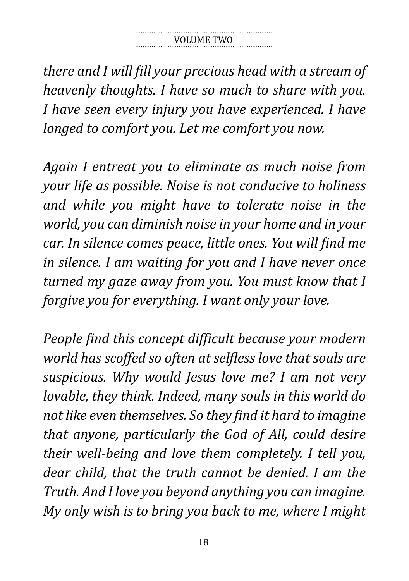*there and I will fill your precious head with a stream of heavenly thoughts. I have so much to share with you. I have seen every injury you have experienced. I have longed to comfort you. Let me comfort you now.*

*Again I entreat you to eliminate as much noise from your life as possible. Noise is not conducive to holiness and while you might have to tolerate noise in the world, you can diminish noise in your home and in your car. In silence comes peace, little ones. You will find me in silence. I am waiting for you and I have never once turned my gaze away from you. You must know that I forgive you for everything. I want only your love.*

*People find this concept difficult because your modern world has scoffed so often at selfless love that souls are suspicious. Why would Jesus love me? I am not very lovable, they think. Indeed, many souls in this world do not like even themselves. So they find it hard to imagine that anyone, particularly the God of All, could desire their well-being and love them completely. I tell you, dear child, that the truth cannot be denied. I am the Truth. And I love you beyond anything you can imagine. My only wish is to bring you back to me, where I might*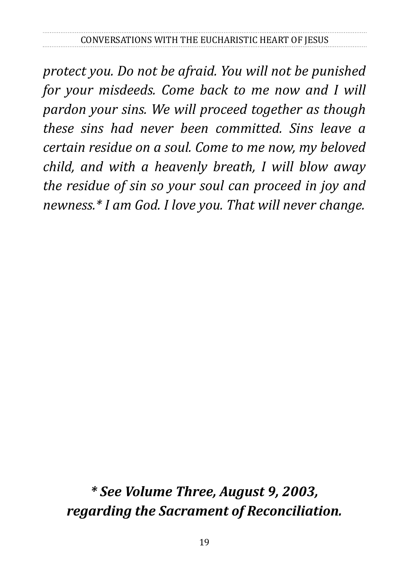*protect you. Do not be afraid. You will not be punished for your misdeeds. Come back to me now and I will pardon your sins. We will proceed together as though these sins had never been committed. Sins leave a certain residue on a soul. Come to me now, my beloved child, and with a heavenly breath, I will blow away the residue of sin so your soul can proceed in joy and newness.\* I am God. I love you. That will never change.*

*\* See Volume Three, August 9, 2003, regarding the Sacrament of Reconciliation.*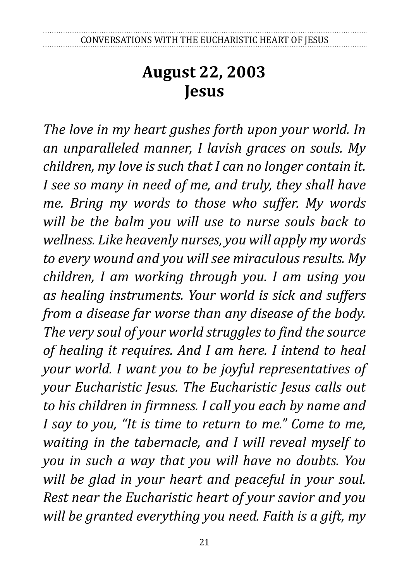# **August 22, 2003 Jesus**

*The love in my heart gushes forth upon your world. In an unparalleled manner, I lavish graces on souls. My children, my love is such that I can no longer contain it. I see so many in need of me, and truly, they shall have me. Bring my words to those who suffer. My words will be the balm you will use to nurse souls back to wellness. Like heavenly nurses, you will apply my words to every wound and you will see miraculous results. My children, I am working through you. I am using you as healing instruments. Your world is sick and suffers from a disease far worse than any disease of the body. The very soul of your world struggles to find the source of healing it requires. And I am here. I intend to heal your world. I want you to be joyful representatives of your Eucharistic Jesus. The Eucharistic Jesus calls out to his children in firmness. I call you each by name and I say to you, "It is time to return to me." Come to me, waiting in the tabernacle, and I will reveal myself to you in such a way that you will have no doubts. You will be glad in your heart and peaceful in your soul. Rest near the Eucharistic heart of your savior and you will be granted everything you need. Faith is a gift, my*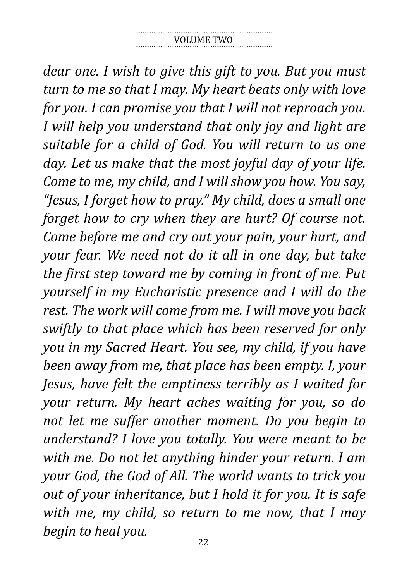*dear one. I wish to give this gift to you. But you must turn to me so that I may. My heart beats only with love for you. I can promise you that I will not reproach you. I will help you understand that only joy and light are suitable for a child of God. You will return to us one day. Let us make that the most joyful day of your life. Come to me, my child, and I will show you how. You say, "Jesus, I forget how to pray." My child, does a small one forget how to cry when they are hurt? Of course not. Come before me and cry out your pain, your hurt, and your fear. We need not do it all in one day, but take the first step toward me by coming in front of me. Put yourself in my Eucharistic presence and I will do the rest. The work will come from me. I will move you back swiftly to that place which has been reserved for only you in my Sacred Heart. You see, my child, if you have been away from me, that place has been empty. I, your Jesus, have felt the emptiness terribly as I waited for your return. My heart aches waiting for you, so do not let me suffer another moment. Do you begin to understand? I love you totally. You were meant to be with me. Do not let anything hinder your return. I am your God, the God of All. The world wants to trick you out of your inheritance, but I hold it for you. It is safe with me, my child, so return to me now, that I may begin to heal you.*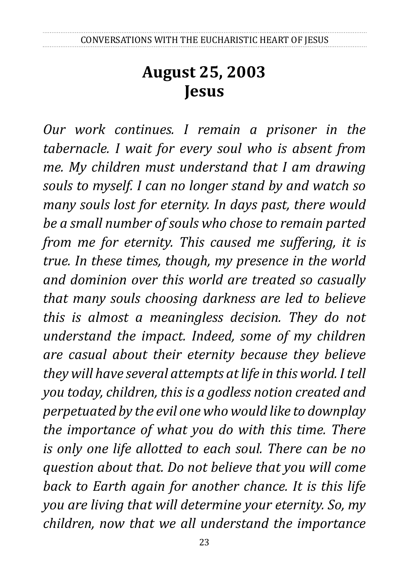#### **August 25, 2003 Jesus**

*Our work continues. I remain a prisoner in the tabernacle. I wait for every soul who is absent from me. My children must understand that I am drawing souls to myself. I can no longer stand by and watch so many souls lost for eternity. In days past, there would be a small number of souls who chose to remain parted from me for eternity. This caused me suffering, it is true. In these times, though, my presence in the world and dominion over this world are treated so casually that many souls choosing darkness are led to believe this is almost a meaningless decision. They do not understand the impact. Indeed, some of my children are casual about their eternity because they believe they will have several attempts at life in this world. I tell you today, children, this is a godless notion created and perpetuated by the evil one who would like to downplay the importance of what you do with this time. There is only one life allotted to each soul. There can be no question about that. Do not believe that you will come back to Earth again for another chance. It is this life you are living that will determine your eternity. So, my children, now that we all understand the importance*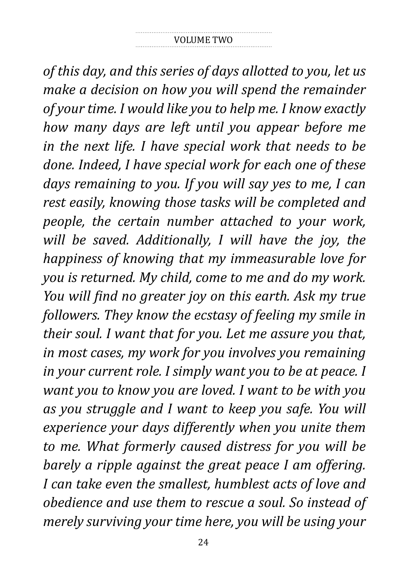*of this day, and this series of days allotted to you, let us make a decision on how you will spend the remainder of your time. I would like you to help me. I know exactly how many days are left until you appear before me in the next life. I have special work that needs to be done. Indeed, I have special work for each one of these days remaining to you. If you will say yes to me, I can rest easily, knowing those tasks will be completed and people, the certain number attached to your work, will be saved. Additionally, I will have the joy, the happiness of knowing that my immeasurable love for you is returned. My child, come to me and do my work. You will find no greater joy on this earth. Ask my true followers. They know the ecstasy of feeling my smile in their soul. I want that for you. Let me assure you that, in most cases, my work for you involves you remaining in your current role. I simply want you to be at peace. I want you to know you are loved. I want to be with you as you struggle and I want to keep you safe. You will experience your days differently when you unite them to me. What formerly caused distress for you will be barely a ripple against the great peace I am offering. I can take even the smallest, humblest acts of love and obedience and use them to rescue a soul. So instead of merely surviving your time here, you will be using your*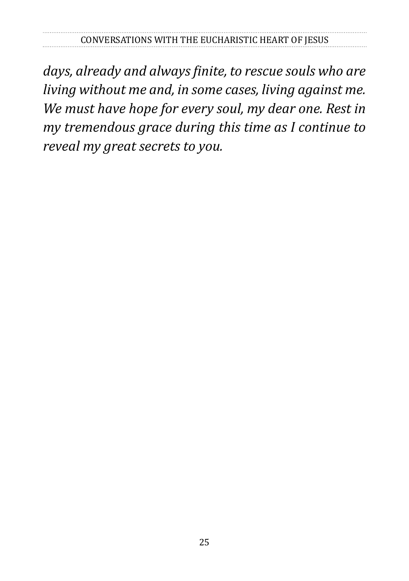*days, already and always finite, to rescue souls who are living without me and, in some cases, living against me. We must have hope for every soul, my dear one. Rest in my tremendous grace during this time as I continue to reveal my great secrets to you.*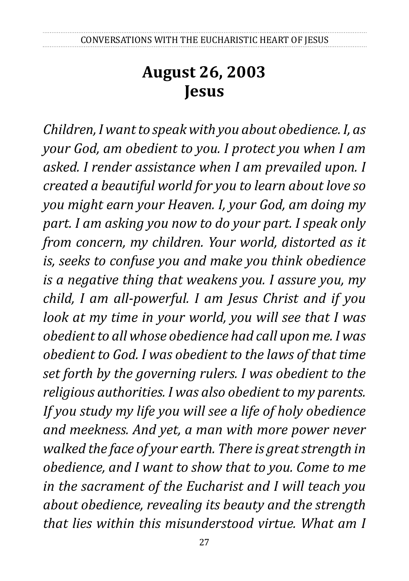# **August 26, 2003 Jesus**

*Children, I want to speak with you about obedience. I, as your God, am obedient to you. I protect you when I am asked. I render assistance when I am prevailed upon. I created a beautiful world for you to learn about love so you might earn your Heaven. I, your God, am doing my part. I am asking you now to do your part. I speak only from concern, my children. Your world, distorted as it is, seeks to confuse you and make you think obedience is a negative thing that weakens you. I assure you, my child, I am all-powerful. I am Jesus Christ and if you look at my time in your world, you will see that I was obedient to all whose obedience had call upon me. I was obedient to God. I was obedient to the laws of that time set forth by the governing rulers. I was obedient to the religious authorities. I was also obedient to my parents. If you study my life you will see a life of holy obedience and meekness. And yet, a man with more power never walked the face of your earth. There is great strength in obedience, and I want to show that to you. Come to me in the sacrament of the Eucharist and I will teach you about obedience, revealing its beauty and the strength that lies within this misunderstood virtue. What am I*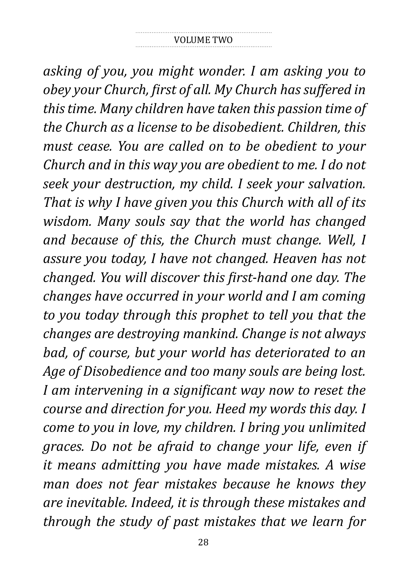*asking of you, you might wonder. I am asking you to obey your Church, first of all. My Church has suffered in this time. Many children have taken this passion time of the Church as a license to be disobedient. Children, this must cease. You are called on to be obedient to your Church and in this way you are obedient to me. I do not seek your destruction, my child. I seek your salvation. That is why I have given you this Church with all of its wisdom. Many souls say that the world has changed and because of this, the Church must change. Well, I assure you today, I have not changed. Heaven has not changed. You will discover this first-hand one day. The changes have occurred in your world and I am coming to you today through this prophet to tell you that the changes are destroying mankind. Change is not always bad, of course, but your world has deteriorated to an Age of Disobedience and too many souls are being lost. I am intervening in a significant way now to reset the course and direction for you. Heed my words this day. I come to you in love, my children. I bring you unlimited graces. Do not be afraid to change your life, even if it means admitting you have made mistakes. A wise man does not fear mistakes because he knows they are inevitable. Indeed, it is through these mistakes and through the study of past mistakes that we learn for*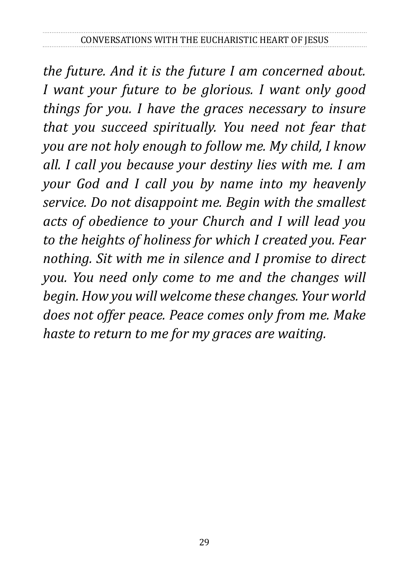*the future. And it is the future I am concerned about. I want your future to be glorious. I want only good things for you. I have the graces necessary to insure that you succeed spiritually. You need not fear that you are not holy enough to follow me. My child, I know all. I call you because your destiny lies with me. I am your God and I call you by name into my heavenly service. Do not disappoint me. Begin with the smallest acts of obedience to your Church and I will lead you to the heights of holiness for which I created you. Fear nothing. Sit with me in silence and I promise to direct you. You need only come to me and the changes will begin. How you will welcome these changes. Your world does not offer peace. Peace comes only from me. Make haste to return to me for my graces are waiting.*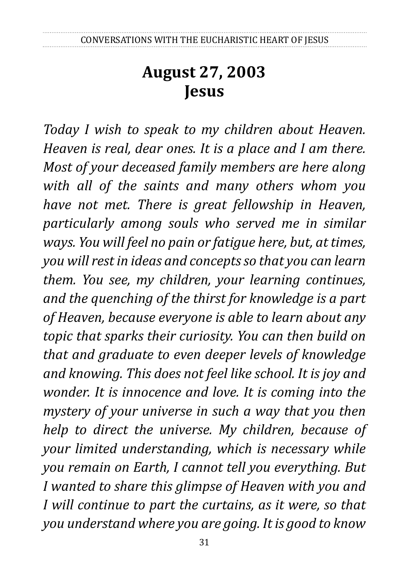# **August 27, 2003 Jesus**

*Today I wish to speak to my children about Heaven. Heaven is real, dear ones. It is a place and I am there. Most of your deceased family members are here along with all of the saints and many others whom you have not met. There is great fellowship in Heaven, particularly among souls who served me in similar ways. You will feel no pain or fatigue here, but, at times, you will rest in ideas and concepts so that you can learn them. You see, my children, your learning continues, and the quenching of the thirst for knowledge is a part of Heaven, because everyone is able to learn about any topic that sparks their curiosity. You can then build on that and graduate to even deeper levels of knowledge and knowing. This does not feel like school. It is joy and wonder. It is innocence and love. It is coming into the mystery of your universe in such a way that you then help to direct the universe. My children, because of your limited understanding, which is necessary while you remain on Earth, I cannot tell you everything. But I wanted to share this glimpse of Heaven with you and I will continue to part the curtains, as it were, so that you understand where you are going. It is good to know*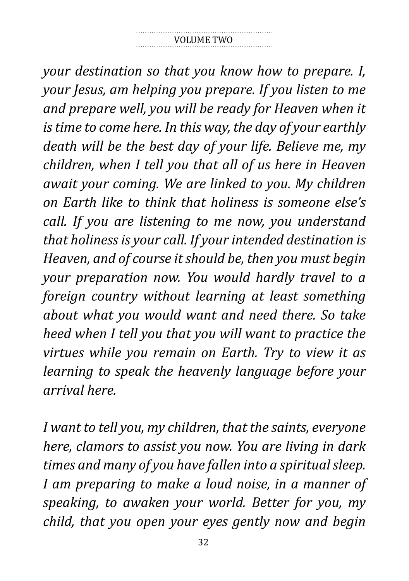*your destination so that you know how to prepare. I, your Jesus, am helping you prepare. If you listen to me and prepare well, you will be ready for Heaven when it is time to come here. In this way, the day of your earthly death will be the best day of your life. Believe me, my children, when I tell you that all of us here in Heaven await your coming. We are linked to you. My children on Earth like to think that holiness is someone else's call. If you are listening to me now, you understand that holiness is your call. If your intended destination is Heaven, and of course it should be, then you must begin your preparation now. You would hardly travel to a foreign country without learning at least something about what you would want and need there. So take heed when I tell you that you will want to practice the virtues while you remain on Earth. Try to view it as learning to speak the heavenly language before your arrival here.*

*I want to tell you, my children, that the saints, everyone here, clamors to assist you now. You are living in dark times and many of you have fallen into a spiritual sleep. I am preparing to make a loud noise, in a manner of speaking, to awaken your world. Better for you, my child, that you open your eyes gently now and begin*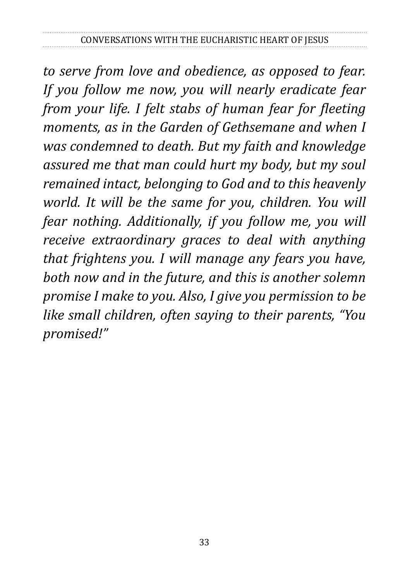*to serve from love and obedience, as opposed to fear. If you follow me now, you will nearly eradicate fear from your life. I felt stabs of human fear for fleeting moments, as in the Garden of Gethsemane and when I was condemned to death. But my faith and knowledge assured me that man could hurt my body, but my soul remained intact, belonging to God and to this heavenly world. It will be the same for you, children. You will fear nothing. Additionally, if you follow me, you will receive extraordinary graces to deal with anything that frightens you. I will manage any fears you have, both now and in the future, and this is another solemn promise I make to you. Also, I give you permission to be like small children, often saying to their parents, "You promised!"*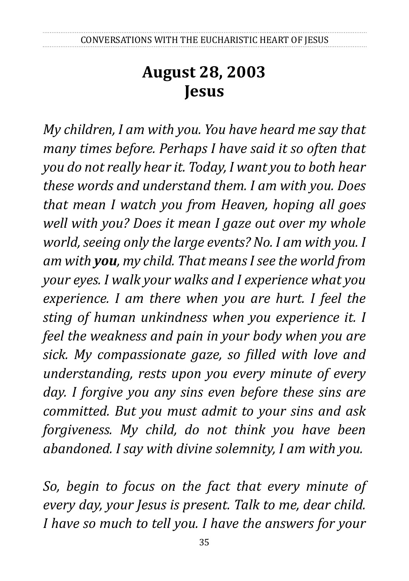# **August 28, 2003 Jesus**

*My children, I am with you. You have heard me say that many times before. Perhaps I have said it so often that you do not really hear it. Today, I want you to both hear these words and understand them. I am with you. Does that mean I watch you from Heaven, hoping all goes well with you? Does it mean I gaze out over my whole world, seeing only the large events? No. I am with you. I am with you, my child. That means I see the world from your eyes. I walk your walks and I experience what you experience. I am there when you are hurt. I feel the sting of human unkindness when you experience it. I feel the weakness and pain in your body when you are sick. My compassionate gaze, so filled with love and understanding, rests upon you every minute of every day. I forgive you any sins even before these sins are committed. But you must admit to your sins and ask forgiveness. My child, do not think you have been abandoned. I say with divine solemnity, I am with you.*

*So, begin to focus on the fact that every minute of every day, your Jesus is present. Talk to me, dear child. I have so much to tell you. I have the answers for your*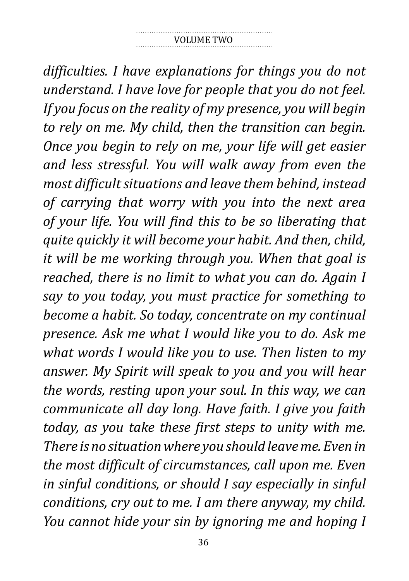#### volume two ...................

*difficulties. I have explanations for things you do not understand. I have love for people that you do not feel. If you focus on the reality of my presence, you will begin to rely on me. My child, then the transition can begin. Once you begin to rely on me, your life will get easier and less stressful. You will walk away from even the most difficult situations and leave them behind, instead of carrying that worry with you into the next area of your life. You will find this to be so liberating that quite quickly it will become your habit. And then, child, it will be me working through you. When that goal is reached, there is no limit to what you can do. Again I say to you today, you must practice for something to become a habit. So today, concentrate on my continual presence. Ask me what I would like you to do. Ask me what words I would like you to use. Then listen to my answer. My Spirit will speak to you and you will hear the words, resting upon your soul. In this way, we can communicate all day long. Have faith. I give you faith today, as you take these first steps to unity with me. There is no situation where you should leave me. Even in the most difficult of circumstances, call upon me. Even in sinful conditions, or should I say especially in sinful conditions, cry out to me. I am there anyway, my child. You cannot hide your sin by ignoring me and hoping I*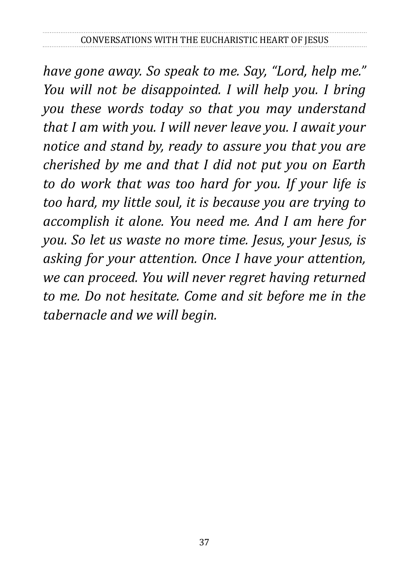*have gone away. So speak to me. Say, "Lord, help me." You will not be disappointed. I will help you. I bring you these words today so that you may understand that I am with you. I will never leave you. I await your notice and stand by, ready to assure you that you are cherished by me and that I did not put you on Earth to do work that was too hard for you. If your life is too hard, my little soul, it is because you are trying to accomplish it alone. You need me. And I am here for you. So let us waste no more time. Jesus, your Jesus, is asking for your attention. Once I have your attention, we can proceed. You will never regret having returned to me. Do not hesitate. Come and sit before me in the tabernacle and we will begin.*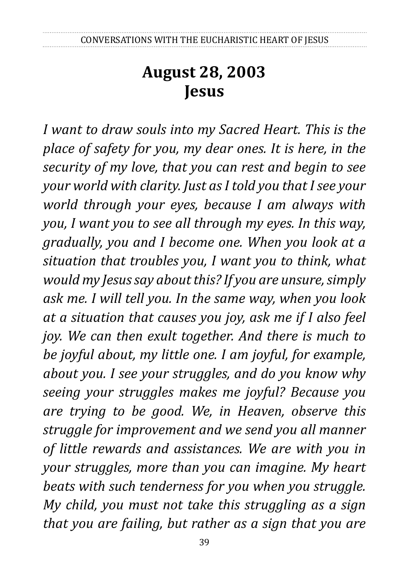### **August 28, 2003 Jesus**

*I want to draw souls into my Sacred Heart. This is the place of safety for you, my dear ones. It is here, in the security of my love, that you can rest and begin to see your world with clarity. Just as I told you that I see your world through your eyes, because I am always with you, I want you to see all through my eyes. In this way, gradually, you and I become one. When you look at a situation that troubles you, I want you to think, what would my Jesus say about this? If you are unsure, simply ask me. I will tell you. In the same way, when you look at a situation that causes you joy, ask me if I also feel joy. We can then exult together. And there is much to be joyful about, my little one. I am joyful, for example, about you. I see your struggles, and do you know why seeing your struggles makes me joyful? Because you are trying to be good. We, in Heaven, observe this struggle for improvement and we send you all manner of little rewards and assistances. We are with you in your struggles, more than you can imagine. My heart beats with such tenderness for you when you struggle. My child, you must not take this struggling as a sign that you are failing, but rather as a sign that you are*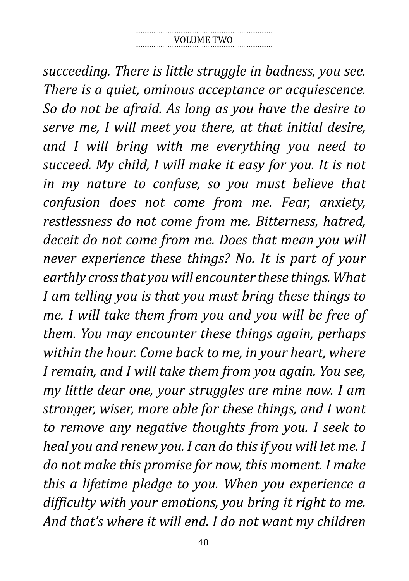*succeeding. There is little struggle in badness, you see. There is a quiet, ominous acceptance or acquiescence. So do not be afraid. As long as you have the desire to serve me, I will meet you there, at that initial desire, and I will bring with me everything you need to succeed. My child, I will make it easy for you. It is not in my nature to confuse, so you must believe that confusion does not come from me. Fear, anxiety, restlessness do not come from me. Bitterness, hatred, deceit do not come from me. Does that mean you will never experience these things? No. It is part of your earthly cross that you will encounter these things. What I am telling you is that you must bring these things to me. I will take them from you and you will be free of them. You may encounter these things again, perhaps within the hour. Come back to me, in your heart, where I remain, and I will take them from you again. You see, my little dear one, your struggles are mine now. I am stronger, wiser, more able for these things, and I want to remove any negative thoughts from you. I seek to heal you and renew you. I can do this if you will let me. I do not make this promise for now, this moment. I make this a lifetime pledge to you. When you experience a difficulty with your emotions, you bring it right to me. And that's where it will end. I do not want my children*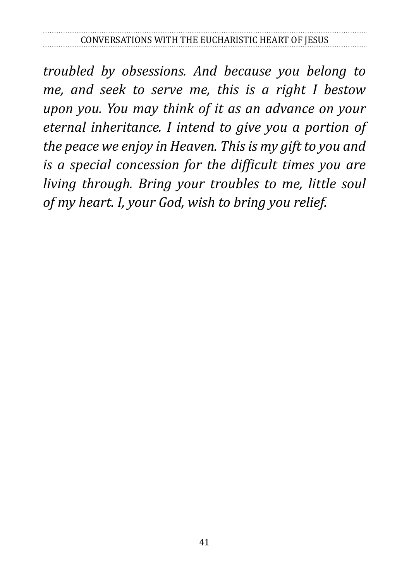*troubled by obsessions. And because you belong to me, and seek to serve me, this is a right I bestow upon you. You may think of it as an advance on your eternal inheritance. I intend to give you a portion of the peace we enjoy in Heaven. This is my gift to you and is a special concession for the difficult times you are living through. Bring your troubles to me, little soul of my heart. I, your God, wish to bring you relief.*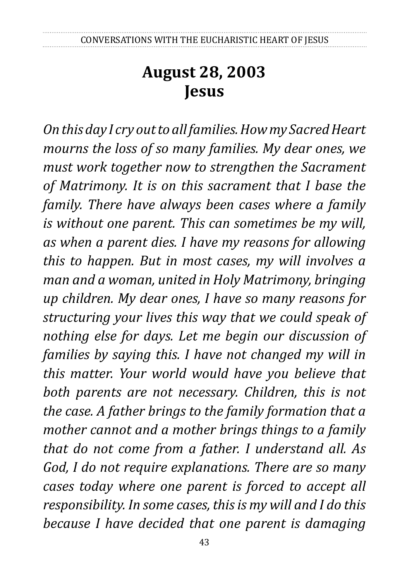# **August 28, 2003 Jesus**

*On this day I cry out to all families. How my Sacred Heart mourns the loss of so many families. My dear ones, we must work together now to strengthen the Sacrament of Matrimony. It is on this sacrament that I base the family. There have always been cases where a family is without one parent. This can sometimes be my will, as when a parent dies. I have my reasons for allowing this to happen. But in most cases, my will involves a man and a woman, united in Holy Matrimony, bringing up children. My dear ones, I have so many reasons for structuring your lives this way that we could speak of nothing else for days. Let me begin our discussion of families by saying this. I have not changed my will in this matter. Your world would have you believe that both parents are not necessary. Children, this is not the case. A father brings to the family formation that a mother cannot and a mother brings things to a family that do not come from a father. I understand all. As God, I do not require explanations. There are so many cases today where one parent is forced to accept all responsibility. In some cases, this is my will and I do this because I have decided that one parent is damaging*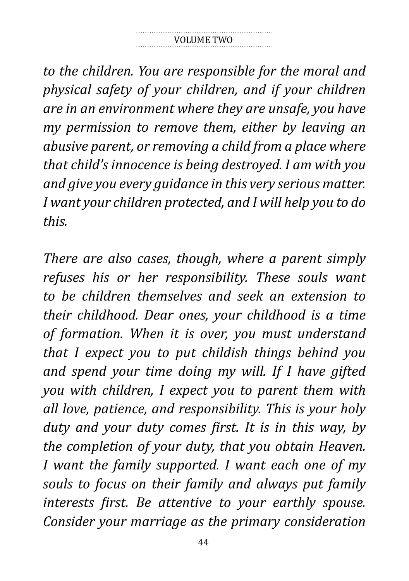*to the children. You are responsible for the moral and physical safety of your children, and if your children are in an environment where they are unsafe, you have my permission to remove them, either by leaving an abusive parent, or removing a child from a place where that child's innocence is being destroyed. I am with you and give you every guidance in this very serious matter. I want your children protected, and I will help you to do this.*

*There are also cases, though, where a parent simply refuses his or her responsibility. These souls want to be children themselves and seek an extension to their childhood. Dear ones, your childhood is a time of formation. When it is over, you must understand that I expect you to put childish things behind you and spend your time doing my will. If I have gifted you with children, I expect you to parent them with all love, patience, and responsibility. This is your holy duty and your duty comes first. It is in this way, by the completion of your duty, that you obtain Heaven. I want the family supported. I want each one of my souls to focus on their family and always put family interests first. Be attentive to your earthly spouse. Consider your marriage as the primary consideration*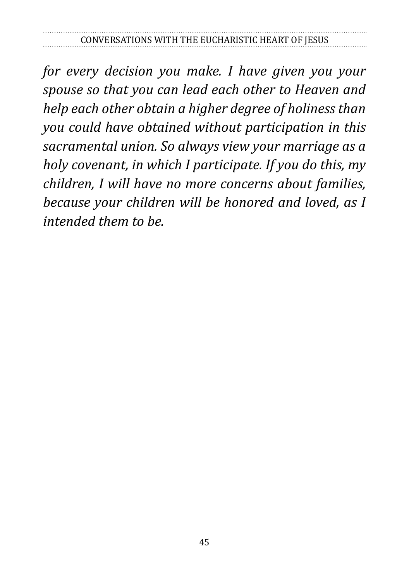*for every decision you make. I have given you your spouse so that you can lead each other to Heaven and help each other obtain a higher degree of holiness than you could have obtained without participation in this sacramental union. So always view your marriage as a holy covenant, in which I participate. If you do this, my children, I will have no more concerns about families, because your children will be honored and loved, as I intended them to be.*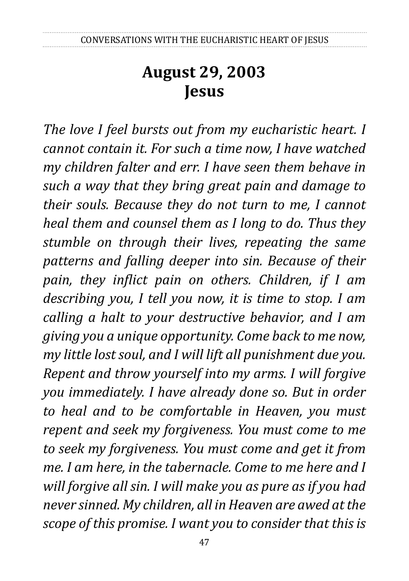# **August 29, 2003 Jesus**

*The love I feel bursts out from my eucharistic heart. I cannot contain it. For such a time now, I have watched my children falter and err. I have seen them behave in such a way that they bring great pain and damage to their souls. Because they do not turn to me, I cannot heal them and counsel them as I long to do. Thus they stumble on through their lives, repeating the same patterns and falling deeper into sin. Because of their pain, they inflict pain on others. Children, if I am describing you, I tell you now, it is time to stop. I am calling a halt to your destructive behavior, and I am giving you a unique opportunity. Come back to me now, my little lost soul, and I will lift all punishment due you. Repent and throw yourself into my arms. I will forgive you immediately. I have already done so. But in order to heal and to be comfortable in Heaven, you must repent and seek my forgiveness. You must come to me to seek my forgiveness. You must come and get it from me. I am here, in the tabernacle. Come to me here and I will forgive all sin. I will make you as pure as if you had never sinned. My children, all in Heaven are awed at the scope of this promise. I want you to consider that this is*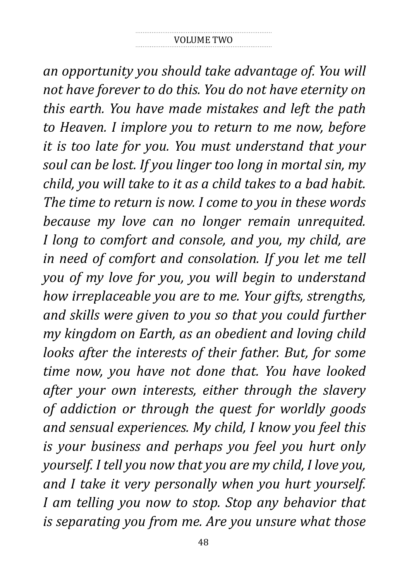#### volume two

*an opportunity you should take advantage of. You will not have forever to do this. You do not have eternity on this earth. You have made mistakes and left the path to Heaven. I implore you to return to me now, before it is too late for you. You must understand that your soul can be lost. If you linger too long in mortal sin, my child, you will take to it as a child takes to a bad habit. The time to return is now. I come to you in these words because my love can no longer remain unrequited. I long to comfort and console, and you, my child, are in need of comfort and consolation. If you let me tell you of my love for you, you will begin to understand how irreplaceable you are to me. Your gifts, strengths, and skills were given to you so that you could further my kingdom on Earth, as an obedient and loving child looks after the interests of their father. But, for some time now, you have not done that. You have looked after your own interests, either through the slavery of addiction or through the quest for worldly goods and sensual experiences. My child, I know you feel this is your business and perhaps you feel you hurt only yourself. I tell you now that you are my child, I love you, and I take it very personally when you hurt yourself. I am telling you now to stop. Stop any behavior that is separating you from me. Are you unsure what those*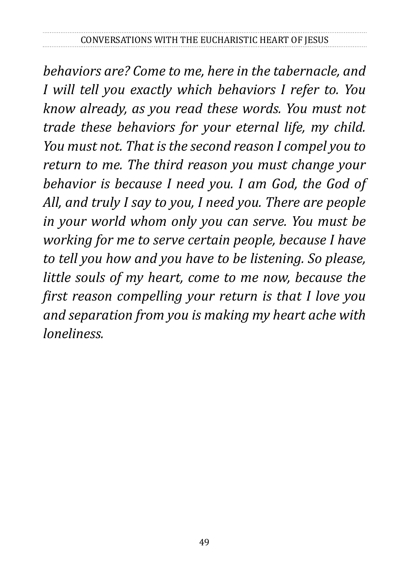*behaviors are? Come to me, here in the tabernacle, and I will tell you exactly which behaviors I refer to. You know already, as you read these words. You must not trade these behaviors for your eternal life, my child. You must not. That is the second reason I compel you to return to me. The third reason you must change your behavior is because I need you. I am God, the God of All, and truly I say to you, I need you. There are people in your world whom only you can serve. You must be working for me to serve certain people, because I have to tell you how and you have to be listening. So please, little souls of my heart, come to me now, because the first reason compelling your return is that I love you and separation from you is making my heart ache with loneliness.*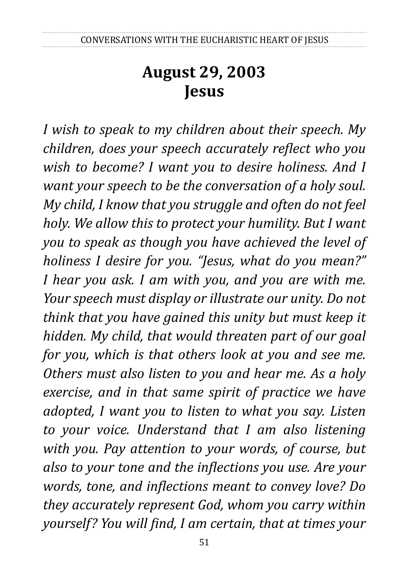# **August 29, 2003 Jesus**

*I wish to speak to my children about their speech. My children, does your speech accurately reflect who you wish to become? I want you to desire holiness. And I want your speech to be the conversation of a holy soul. My child, I know that you struggle and often do not feel holy. We allow this to protect your humility. But I want you to speak as though you have achieved the level of holiness I desire for you. "Jesus, what do you mean?" I hear you ask. I am with you, and you are with me. Your speech must display or illustrate our unity. Do not think that you have gained this unity but must keep it hidden. My child, that would threaten part of our goal for you, which is that others look at you and see me. Others must also listen to you and hear me. As a holy exercise, and in that same spirit of practice we have adopted, I want you to listen to what you say. Listen to your voice. Understand that I am also listening with you. Pay attention to your words, of course, but also to your tone and the inflections you use. Are your words, tone, and inflections meant to convey love? Do they accurately represent God, whom you carry within yourself? You will find, I am certain, that at times your*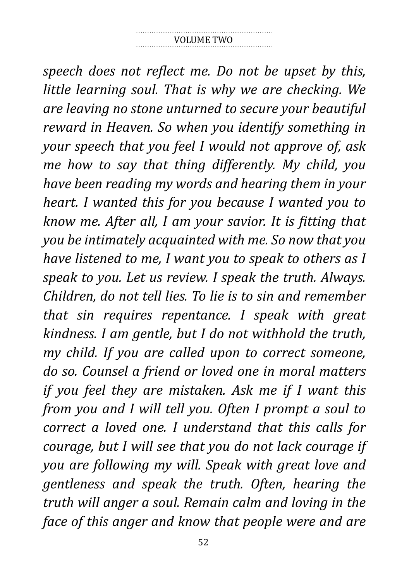*speech does not reflect me. Do not be upset by this, little learning soul. That is why we are checking. We are leaving no stone unturned to secure your beautiful reward in Heaven. So when you identify something in your speech that you feel I would not approve of, ask me how to say that thing differently. My child, you have been reading my words and hearing them in your heart. I wanted this for you because I wanted you to know me. After all, I am your savior. It is fitting that you be intimately acquainted with me. So now that you have listened to me, I want you to speak to others as I speak to you. Let us review. I speak the truth. Always. Children, do not tell lies. To lie is to sin and remember that sin requires repentance. I speak with great kindness. I am gentle, but I do not withhold the truth, my child. If you are called upon to correct someone, do so. Counsel a friend or loved one in moral matters if you feel they are mistaken. Ask me if I want this from you and I will tell you. Often I prompt a soul to correct a loved one. I understand that this calls for courage, but I will see that you do not lack courage if you are following my will. Speak with great love and gentleness and speak the truth. Often, hearing the truth will anger a soul. Remain calm and loving in the face of this anger and know that people were and are*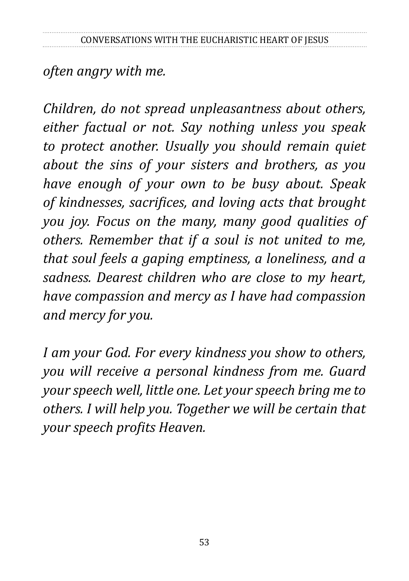#### *often angry with me.*

*Children, do not spread unpleasantness about others, either factual or not. Say nothing unless you speak to protect another. Usually you should remain quiet about the sins of your sisters and brothers, as you have enough of your own to be busy about. Speak of kindnesses, sacrifices, and loving acts that brought you joy. Focus on the many, many good qualities of others. Remember that if a soul is not united to me, that soul feels a gaping emptiness, a loneliness, and a sadness. Dearest children who are close to my heart, have compassion and mercy as I have had compassion and mercy for you.* 

*I am your God. For every kindness you show to others, you will receive a personal kindness from me. Guard your speech well, little one. Let your speech bring me to others. I will help you. Together we will be certain that your speech profits Heaven.*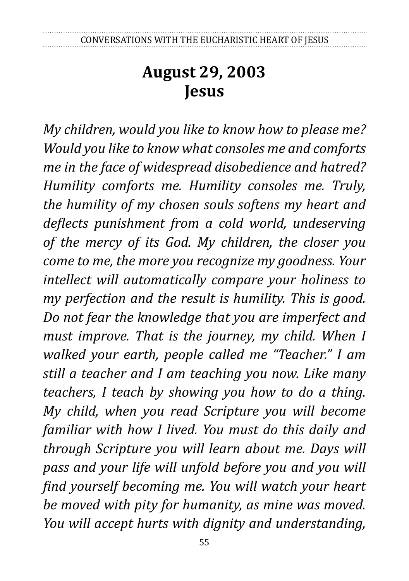# **August 29, 2003 Jesus**

*My children, would you like to know how to please me? Would you like to know what consoles me and comforts me in the face of widespread disobedience and hatred? Humility comforts me. Humility consoles me. Truly, the humility of my chosen souls softens my heart and deflects punishment from a cold world, undeserving of the mercy of its God. My children, the closer you come to me, the more you recognize my goodness. Your intellect will automatically compare your holiness to my perfection and the result is humility. This is good. Do not fear the knowledge that you are imperfect and must improve. That is the journey, my child. When I walked your earth, people called me "Teacher." I am still a teacher and I am teaching you now. Like many teachers, I teach by showing you how to do a thing. My child, when you read Scripture you will become familiar with how I lived. You must do this daily and through Scripture you will learn about me. Days will pass and your life will unfold before you and you will find yourself becoming me. You will watch your heart be moved with pity for humanity, as mine was moved. You will accept hurts with dignity and understanding,*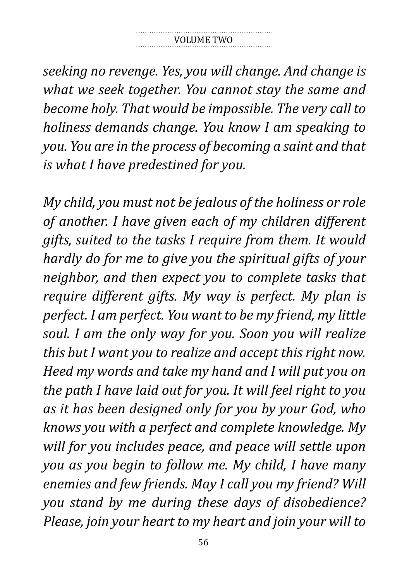*seeking no revenge. Yes, you will change. And change is what we seek together. You cannot stay the same and become holy. That would be impossible. The very call to holiness demands change. You know I am speaking to you. You are in the process of becoming a saint and that is what I have predestined for you.*

*My child, you must not be jealous of the holiness or role of another. I have given each of my children different gifts, suited to the tasks I require from them. It would hardly do for me to give you the spiritual gifts of your neighbor, and then expect you to complete tasks that require different gifts. My way is perfect. My plan is perfect. I am perfect. You want to be my friend, my little soul. I am the only way for you. Soon you will realize this but I want you to realize and accept this right now. Heed my words and take my hand and I will put you on the path I have laid out for you. It will feel right to you as it has been designed only for you by your God, who knows you with a perfect and complete knowledge. My will for you includes peace, and peace will settle upon you as you begin to follow me. My child, I have many enemies and few friends. May I call you my friend? Will you stand by me during these days of disobedience? Please, join your heart to my heart and join your will to*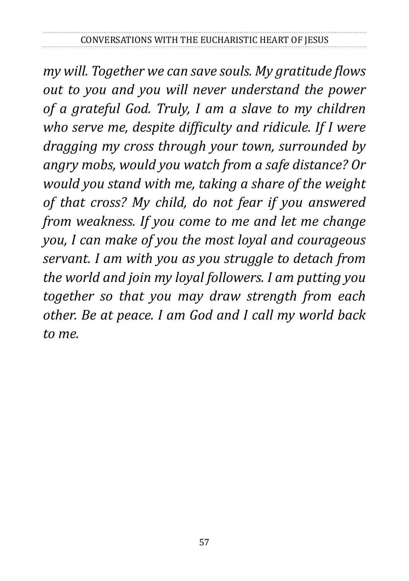*my will. Together we can save souls. My gratitude flows out to you and you will never understand the power of a grateful God. Truly, I am a slave to my children who serve me, despite difficulty and ridicule. If I were dragging my cross through your town, surrounded by angry mobs, would you watch from a safe distance? Or would you stand with me, taking a share of the weight of that cross? My child, do not fear if you answered from weakness. If you come to me and let me change you, I can make of you the most loyal and courageous servant. I am with you as you struggle to detach from the world and join my loyal followers. I am putting you together so that you may draw strength from each other. Be at peace. I am God and I call my world back to me.*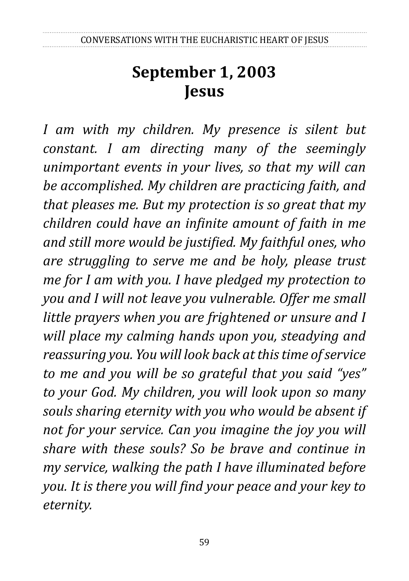# **September 1, 2003 Jesus**

*I am with my children. My presence is silent but constant. I am directing many of the seemingly unimportant events in your lives, so that my will can be accomplished. My children are practicing faith, and that pleases me. But my protection is so great that my children could have an infinite amount of faith in me and still more would be justified. My faithful ones, who are struggling to serve me and be holy, please trust me for I am with you. I have pledged my protection to you and I will not leave you vulnerable. Offer me small little prayers when you are frightened or unsure and I will place my calming hands upon you, steadying and reassuring you. You will look back at this time of service to me and you will be so grateful that you said "yes" to your God. My children, you will look upon so many souls sharing eternity with you who would be absent if not for your service. Can you imagine the joy you will share with these souls? So be brave and continue in my service, walking the path I have illuminated before you. It is there you will find your peace and your key to eternity.*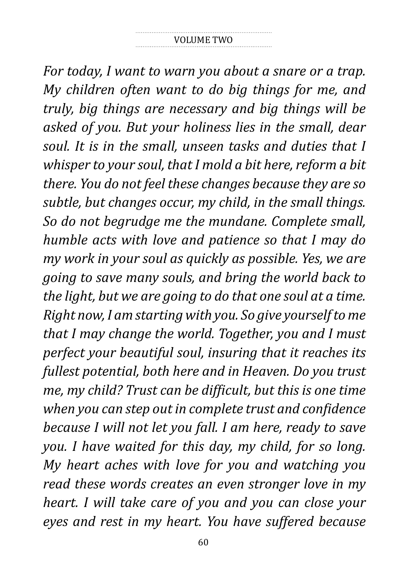*For today, I want to warn you about a snare or a trap. My children often want to do big things for me, and truly, big things are necessary and big things will be asked of you. But your holiness lies in the small, dear soul. It is in the small, unseen tasks and duties that I whisper to your soul, that I mold a bit here, reform a bit there. You do not feel these changes because they are so subtle, but changes occur, my child, in the small things. So do not begrudge me the mundane. Complete small, humble acts with love and patience so that I may do my work in your soul as quickly as possible. Yes, we are going to save many souls, and bring the world back to the light, but we are going to do that one soul at a time. Right now, I am starting with you. So give yourself to me that I may change the world. Together, you and I must perfect your beautiful soul, insuring that it reaches its fullest potential, both here and in Heaven. Do you trust me, my child? Trust can be difficult, but this is one time when you can step out in complete trust and confidence because I will not let you fall. I am here, ready to save you. I have waited for this day, my child, for so long. My heart aches with love for you and watching you read these words creates an even stronger love in my heart. I will take care of you and you can close your eyes and rest in my heart. You have suffered because*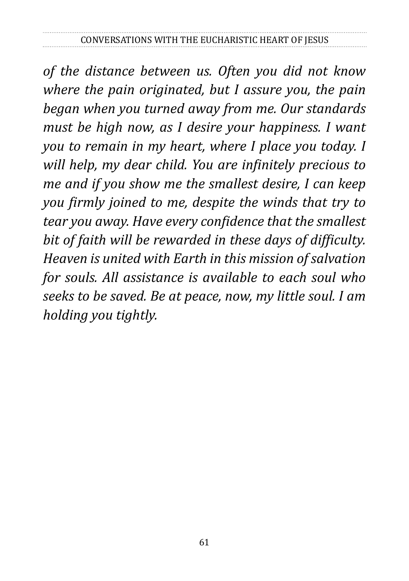*of the distance between us. Often you did not know where the pain originated, but I assure you, the pain began when you turned away from me. Our standards must be high now, as I desire your happiness. I want you to remain in my heart, where I place you today. I will help, my dear child. You are infinitely precious to me and if you show me the smallest desire, I can keep you firmly joined to me, despite the winds that try to tear you away. Have every confidence that the smallest bit of faith will be rewarded in these days of difficulty. Heaven is united with Earth in this mission of salvation for souls. All assistance is available to each soul who seeks to be saved. Be at peace, now, my little soul. I am holding you tightly.*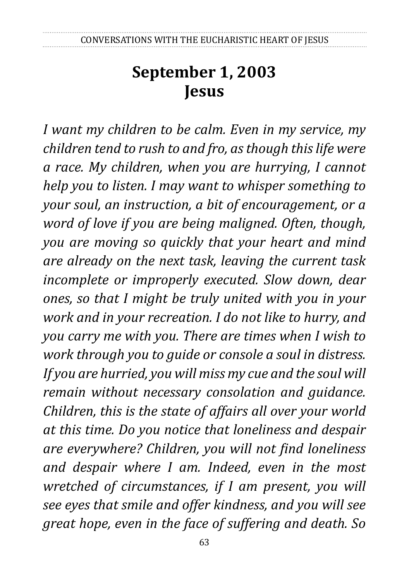## **September 1, 2003 Jesus**

*I want my children to be calm. Even in my service, my children tend to rush to and fro, as though this life were a race. My children, when you are hurrying, I cannot help you to listen. I may want to whisper something to your soul, an instruction, a bit of encouragement, or a word of love if you are being maligned. Often, though, you are moving so quickly that your heart and mind are already on the next task, leaving the current task incomplete or improperly executed. Slow down, dear ones, so that I might be truly united with you in your work and in your recreation. I do not like to hurry, and you carry me with you. There are times when I wish to work through you to guide or console a soul in distress. If you are hurried, you will miss my cue and the soul will remain without necessary consolation and guidance. Children, this is the state of affairs all over your world at this time. Do you notice that loneliness and despair are everywhere? Children, you will not find loneliness and despair where I am. Indeed, even in the most wretched of circumstances, if I am present, you will see eyes that smile and offer kindness, and you will see great hope, even in the face of suffering and death. So*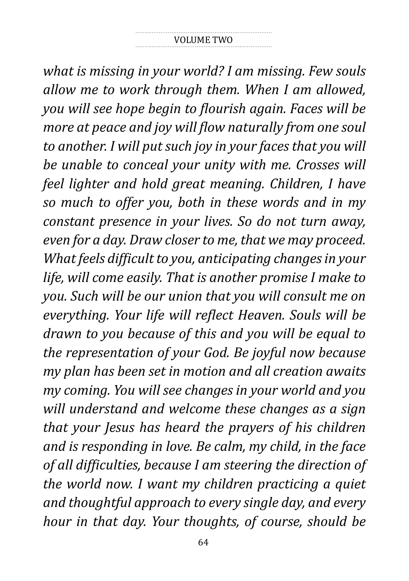*what is missing in your world? I am missing. Few souls allow me to work through them. When I am allowed, you will see hope begin to flourish again. Faces will be more at peace and joy will flow naturally from one soul to another. I will put such joy in your faces that you will be unable to conceal your unity with me. Crosses will feel lighter and hold great meaning. Children, I have so much to offer you, both in these words and in my constant presence in your lives. So do not turn away, even for a day. Draw closer to me, that we may proceed. What feels difficult to you, anticipating changes in your life, will come easily. That is another promise I make to you. Such will be our union that you will consult me on everything. Your life will reflect Heaven. Souls will be drawn to you because of this and you will be equal to the representation of your God. Be joyful now because my plan has been set in motion and all creation awaits my coming. You will see changes in your world and you will understand and welcome these changes as a sign that your Jesus has heard the prayers of his children and is responding in love. Be calm, my child, in the face of all difficulties, because I am steering the direction of the world now. I want my children practicing a quiet and thoughtful approach to every single day, and every hour in that day. Your thoughts, of course, should be*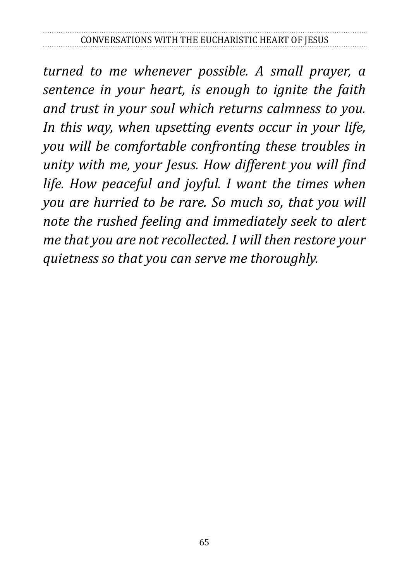*turned to me whenever possible. A small prayer, a sentence in your heart, is enough to ignite the faith and trust in your soul which returns calmness to you. In this way, when upsetting events occur in your life, you will be comfortable confronting these troubles in unity with me, your Jesus. How different you will find life. How peaceful and joyful. I want the times when you are hurried to be rare. So much so, that you will note the rushed feeling and immediately seek to alert me that you are not recollected. I will then restore your quietness so that you can serve me thoroughly.*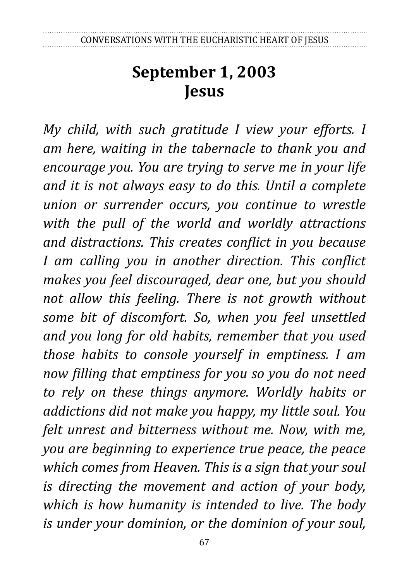## **September 1, 2003 Jesus**

*My child, with such gratitude I view your efforts. I am here, waiting in the tabernacle to thank you and encourage you. You are trying to serve me in your life and it is not always easy to do this. Until a complete union or surrender occurs, you continue to wrestle with the pull of the world and worldly attractions and distractions. This creates conflict in you because I am calling you in another direction. This conflict makes you feel discouraged, dear one, but you should not allow this feeling. There is not growth without some bit of discomfort. So, when you feel unsettled and you long for old habits, remember that you used those habits to console yourself in emptiness. I am now filling that emptiness for you so you do not need to rely on these things anymore. Worldly habits or addictions did not make you happy, my little soul. You felt unrest and bitterness without me. Now, with me, you are beginning to experience true peace, the peace which comes from Heaven. This is a sign that your soul is directing the movement and action of your body, which is how humanity is intended to live. The body is under your dominion, or the dominion of your soul,*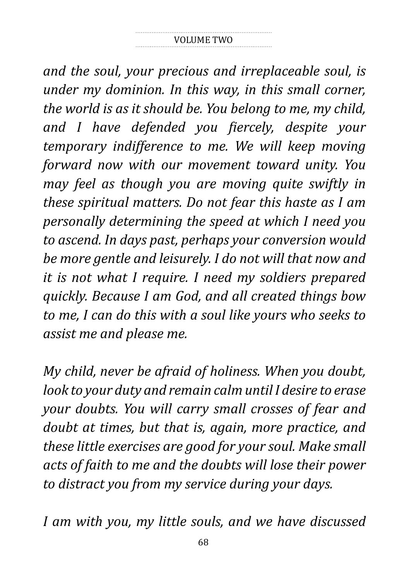### volume two

*and the soul, your precious and irreplaceable soul, is under my dominion. In this way, in this small corner, the world is as it should be. You belong to me, my child, and I have defended you fiercely, despite your temporary indifference to me. We will keep moving forward now with our movement toward unity. You may feel as though you are moving quite swiftly in these spiritual matters. Do not fear this haste as I am personally determining the speed at which I need you to ascend. In days past, perhaps your conversion would be more gentle and leisurely. I do not will that now and it is not what I require. I need my soldiers prepared quickly. Because I am God, and all created things bow to me, I can do this with a soul like yours who seeks to assist me and please me.*

*My child, never be afraid of holiness. When you doubt, look to your duty and remain calm until I desire to erase your doubts. You will carry small crosses of fear and doubt at times, but that is, again, more practice, and these little exercises are good for your soul. Make small acts of faith to me and the doubts will lose their power to distract you from my service during your days.*

*I am with you, my little souls, and we have discussed*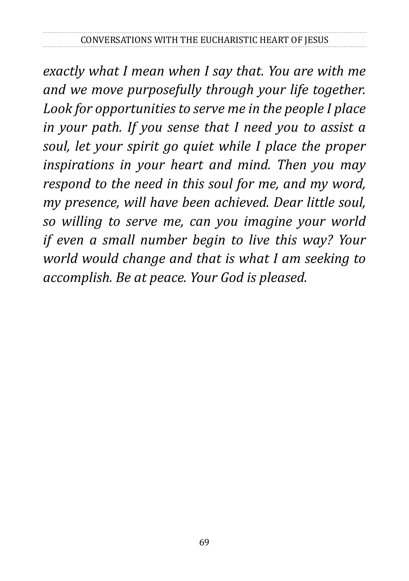*exactly what I mean when I say that. You are with me and we move purposefully through your life together. Look for opportunities to serve me in the people I place in your path. If you sense that I need you to assist a soul, let your spirit go quiet while I place the proper inspirations in your heart and mind. Then you may respond to the need in this soul for me, and my word, my presence, will have been achieved. Dear little soul, so willing to serve me, can you imagine your world if even a small number begin to live this way? Your world would change and that is what I am seeking to accomplish. Be at peace. Your God is pleased.*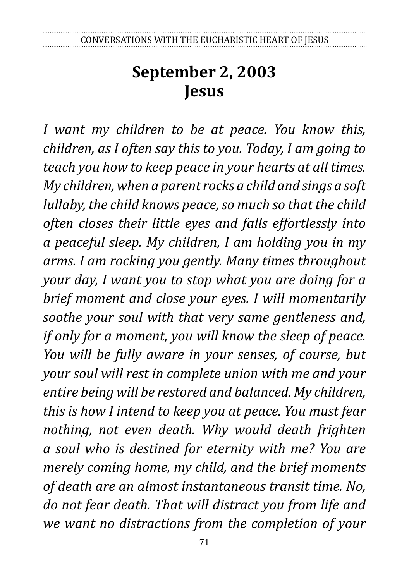# **September 2, 2003 Jesus**

*I want my children to be at peace. You know this, children, as I often say this to you. Today, I am going to teach you how to keep peace in your hearts at all times. My children, when a parent rocks a child and sings a soft lullaby, the child knows peace, so much so that the child often closes their little eyes and falls effortlessly into a peaceful sleep. My children, I am holding you in my arms. I am rocking you gently. Many times throughout your day, I want you to stop what you are doing for a brief moment and close your eyes. I will momentarily soothe your soul with that very same gentleness and, if only for a moment, you will know the sleep of peace. You will be fully aware in your senses, of course, but your soul will rest in complete union with me and your entire being will be restored and balanced. My children, this is how I intend to keep you at peace. You must fear nothing, not even death. Why would death frighten a soul who is destined for eternity with me? You are merely coming home, my child, and the brief moments of death are an almost instantaneous transit time. No, do not fear death. That will distract you from life and we want no distractions from the completion of your*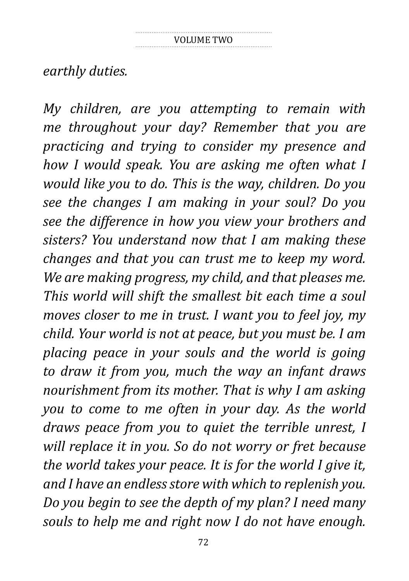### *earthly duties.*

*My children, are you attempting to remain with me throughout your day? Remember that you are practicing and trying to consider my presence and how I would speak. You are asking me often what I would like you to do. This is the way, children. Do you see the changes I am making in your soul? Do you see the difference in how you view your brothers and sisters? You understand now that I am making these changes and that you can trust me to keep my word. We are making progress, my child, and that pleases me. This world will shift the smallest bit each time a soul moves closer to me in trust. I want you to feel joy, my child. Your world is not at peace, but you must be. I am placing peace in your souls and the world is going to draw it from you, much the way an infant draws nourishment from its mother. That is why I am asking you to come to me often in your day. As the world draws peace from you to quiet the terrible unrest, I will replace it in you. So do not worry or fret because the world takes your peace. It is for the world I give it, and I have an endless store with which to replenish you. Do you begin to see the depth of my plan? I need many souls to help me and right now I do not have enough.*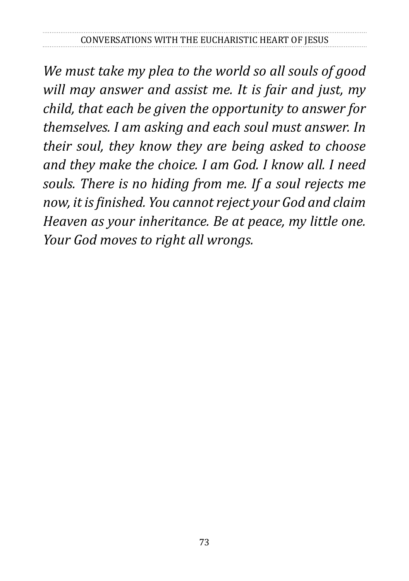*We must take my plea to the world so all souls of good will may answer and assist me. It is fair and just, my child, that each be given the opportunity to answer for themselves. I am asking and each soul must answer. In their soul, they know they are being asked to choose and they make the choice. I am God. I know all. I need souls. There is no hiding from me. If a soul rejects me now, it is finished. You cannot reject your God and claim Heaven as your inheritance. Be at peace, my little one. Your God moves to right all wrongs.*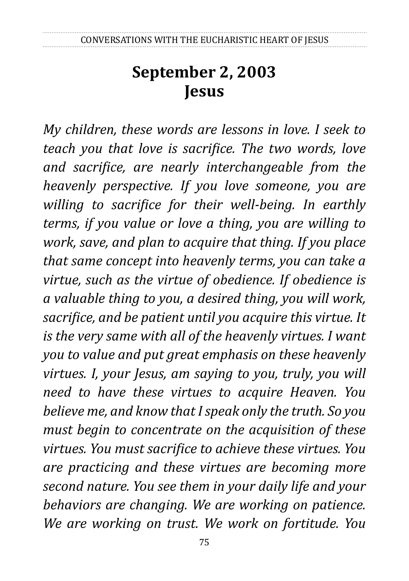# **September 2, 2003 Jesus**

*My children, these words are lessons in love. I seek to teach you that love is sacrifice. The two words, love and sacrifice, are nearly interchangeable from the heavenly perspective. If you love someone, you are willing to sacrifice for their well-being. In earthly terms, if you value or love a thing, you are willing to work, save, and plan to acquire that thing. If you place that same concept into heavenly terms, you can take a virtue, such as the virtue of obedience. If obedience is a valuable thing to you, a desired thing, you will work, sacrifice, and be patient until you acquire this virtue. It is the very same with all of the heavenly virtues. I want you to value and put great emphasis on these heavenly virtues. I, your Jesus, am saying to you, truly, you will need to have these virtues to acquire Heaven. You believe me, and know that I speak only the truth. So you must begin to concentrate on the acquisition of these virtues. You must sacrifice to achieve these virtues. You are practicing and these virtues are becoming more second nature. You see them in your daily life and your behaviors are changing. We are working on patience. We are working on trust. We work on fortitude. You*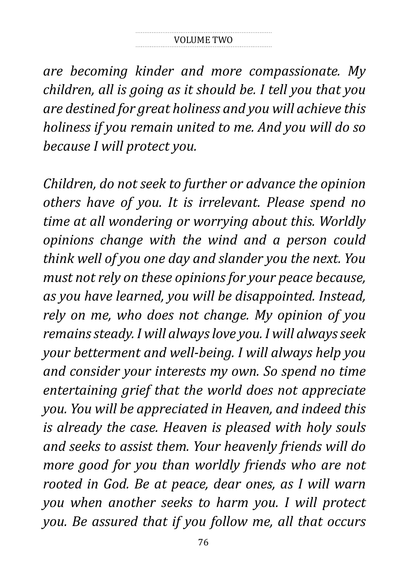*are becoming kinder and more compassionate. My children, all is going as it should be. I tell you that you are destined for great holiness and you will achieve this holiness if you remain united to me. And you will do so because I will protect you.*

*Children, do not seek to further or advance the opinion others have of you. It is irrelevant. Please spend no time at all wondering or worrying about this. Worldly opinions change with the wind and a person could think well of you one day and slander you the next. You must not rely on these opinions for your peace because, as you have learned, you will be disappointed. Instead, rely on me, who does not change. My opinion of you remains steady. I will always love you. I will always seek your betterment and well-being. I will always help you and consider your interests my own. So spend no time entertaining grief that the world does not appreciate you. You will be appreciated in Heaven, and indeed this is already the case. Heaven is pleased with holy souls and seeks to assist them. Your heavenly friends will do more good for you than worldly friends who are not rooted in God. Be at peace, dear ones, as I will warn you when another seeks to harm you. I will protect you. Be assured that if you follow me, all that occurs*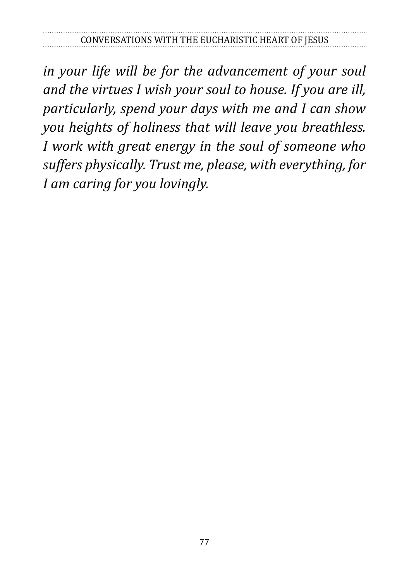*in your life will be for the advancement of your soul and the virtues I wish your soul to house. If you are ill, particularly, spend your days with me and I can show you heights of holiness that will leave you breathless. I work with great energy in the soul of someone who suffers physically. Trust me, please, with everything, for I am caring for you lovingly.*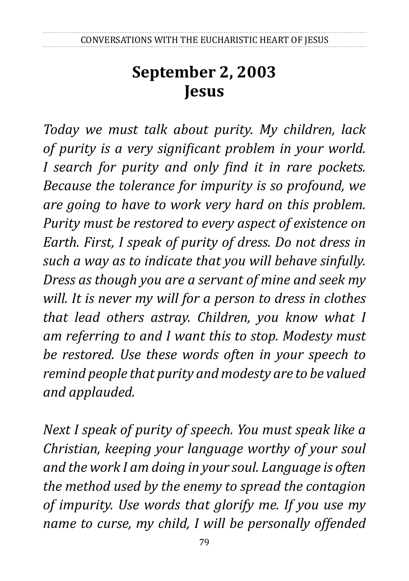# **September 2, 2003 Jesus**

*Today we must talk about purity. My children, lack of purity is a very significant problem in your world. I search for purity and only find it in rare pockets. Because the tolerance for impurity is so profound, we are going to have to work very hard on this problem. Purity must be restored to every aspect of existence on Earth. First, I speak of purity of dress. Do not dress in such a way as to indicate that you will behave sinfully. Dress as though you are a servant of mine and seek my will. It is never my will for a person to dress in clothes that lead others astray. Children, you know what I am referring to and I want this to stop. Modesty must be restored. Use these words often in your speech to remind people that purity and modesty are to be valued and applauded.* 

*Next I speak of purity of speech. You must speak like a Christian, keeping your language worthy of your soul and the work I am doing in your soul. Language is often the method used by the enemy to spread the contagion of impurity. Use words that glorify me. If you use my name to curse, my child, I will be personally offended*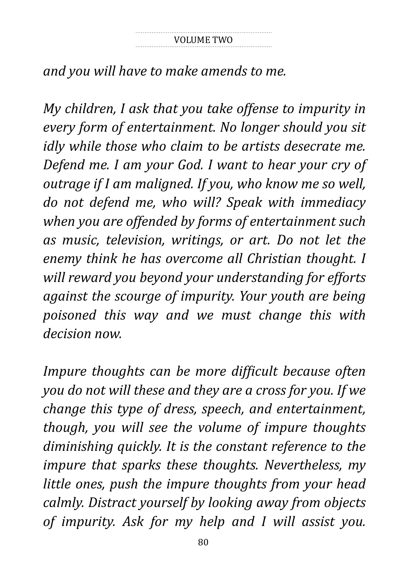### volume two . . . . . . . . . . . . . . . . . . . .

## *and you will have to make amends to me.*

*My children, I ask that you take offense to impurity in every form of entertainment. No longer should you sit idly while those who claim to be artists desecrate me. Defend me. I am your God. I want to hear your cry of outrage if I am maligned. If you, who know me so well, do not defend me, who will? Speak with immediacy when you are offended by forms of entertainment such as music, television, writings, or art. Do not let the enemy think he has overcome all Christian thought. I will reward you beyond your understanding for efforts against the scourge of impurity. Your youth are being poisoned this way and we must change this with decision now.*

*Impure thoughts can be more difficult because often you do not will these and they are a cross for you. If we change this type of dress, speech, and entertainment, though, you will see the volume of impure thoughts diminishing quickly. It is the constant reference to the impure that sparks these thoughts. Nevertheless, my little ones, push the impure thoughts from your head calmly. Distract yourself by looking away from objects of impurity. Ask for my help and I will assist you.*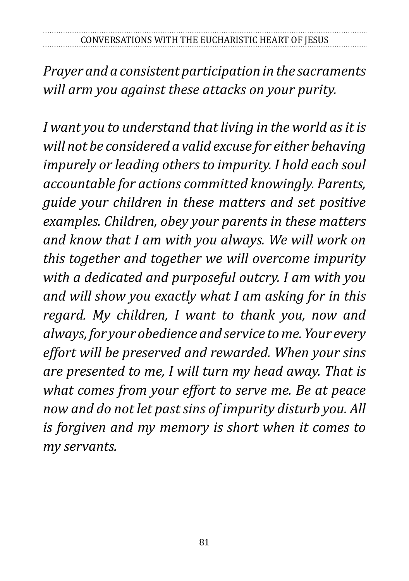*Prayer and a consistent participation in the sacraments will arm you against these attacks on your purity.*

*I want you to understand that living in the world as it is will not be considered a valid excuse for either behaving impurely or leading others to impurity. I hold each soul accountable for actions committed knowingly. Parents, guide your children in these matters and set positive examples. Children, obey your parents in these matters and know that I am with you always. We will work on this together and together we will overcome impurity with a dedicated and purposeful outcry. I am with you and will show you exactly what I am asking for in this regard. My children, I want to thank you, now and always, for your obedience and service to me. Your every effort will be preserved and rewarded. When your sins are presented to me, I will turn my head away. That is what comes from your effort to serve me. Be at peace now and do not let past sins of impurity disturb you. All is forgiven and my memory is short when it comes to my servants.*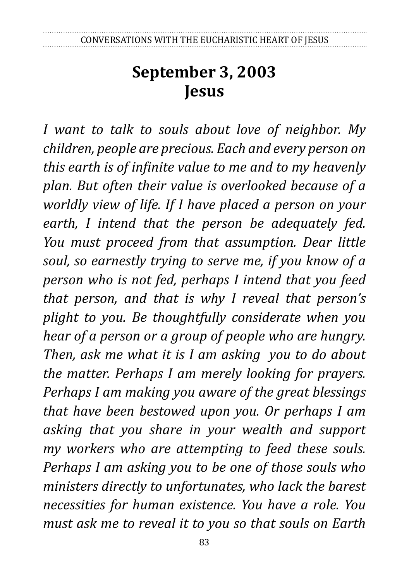# **September 3, 2003 Jesus**

*I want to talk to souls about love of neighbor. My children, people are precious. Each and every person on this earth is of infinite value to me and to my heavenly plan. But often their value is overlooked because of a worldly view of life. If I have placed a person on your earth, I intend that the person be adequately fed. You must proceed from that assumption. Dear little soul, so earnestly trying to serve me, if you know of a person who is not fed, perhaps I intend that you feed that person, and that is why I reveal that person's plight to you. Be thoughtfully considerate when you hear of a person or a group of people who are hungry. Then, ask me what it is I am asking you to do about the matter. Perhaps I am merely looking for prayers. Perhaps I am making you aware of the great blessings that have been bestowed upon you. Or perhaps I am asking that you share in your wealth and support my workers who are attempting to feed these souls. Perhaps I am asking you to be one of those souls who ministers directly to unfortunates, who lack the barest necessities for human existence. You have a role. You must ask me to reveal it to you so that souls on Earth*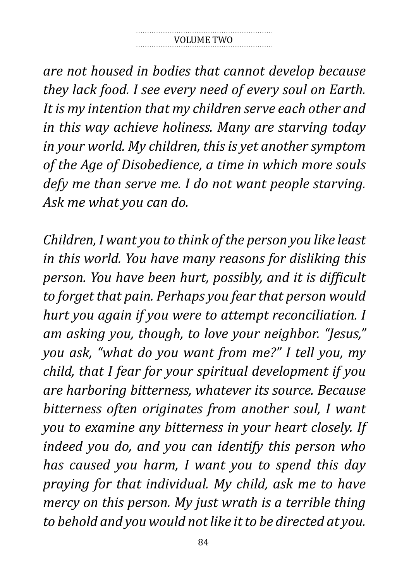#### volume two

*are not housed in bodies that cannot develop because they lack food. I see every need of every soul on Earth. It is my intention that my children serve each other and in this way achieve holiness. Many are starving today in your world. My children, this is yet another symptom of the Age of Disobedience, a time in which more souls defy me than serve me. I do not want people starving. Ask me what you can do.* 

*Children, I want you to think of the person you like least in this world. You have many reasons for disliking this person. You have been hurt, possibly, and it is difficult to forget that pain. Perhaps you fear that person would hurt you again if you were to attempt reconciliation. I am asking you, though, to love your neighbor. "Jesus," you ask, "what do you want from me?" I tell you, my child, that I fear for your spiritual development if you are harboring bitterness, whatever its source. Because bitterness often originates from another soul, I want you to examine any bitterness in your heart closely. If indeed you do, and you can identify this person who has caused you harm, I want you to spend this day praying for that individual. My child, ask me to have mercy on this person. My just wrath is a terrible thing to behold and you would not like it to be directed at you.*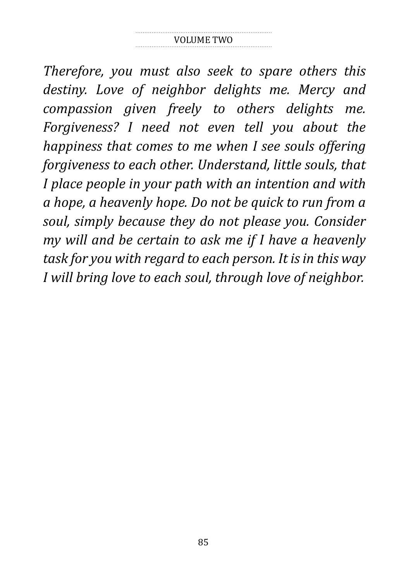### volume two

*Therefore, you must also seek to spare others this destiny. Love of neighbor delights me. Mercy and compassion given freely to others delights me. Forgiveness? I need not even tell you about the happiness that comes to me when I see souls offering forgiveness to each other. Understand, little souls, that I place people in your path with an intention and with a hope, a heavenly hope. Do not be quick to run from a soul, simply because they do not please you. Consider my will and be certain to ask me if I have a heavenly task for you with regard to each person. It is in this way I will bring love to each soul, through love of neighbor.*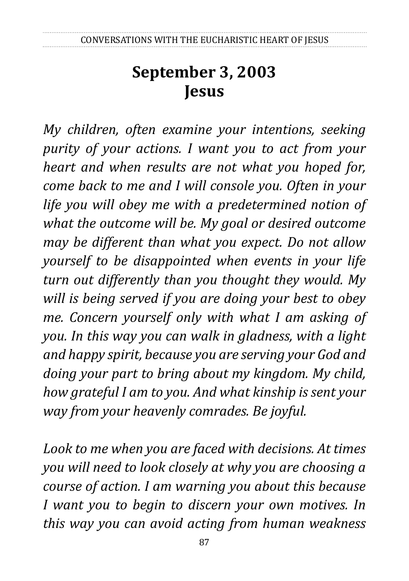# **September 3, 2003 Jesus**

*My children, often examine your intentions, seeking purity of your actions. I want you to act from your heart and when results are not what you hoped for, come back to me and I will console you. Often in your life you will obey me with a predetermined notion of what the outcome will be. My goal or desired outcome may be different than what you expect. Do not allow yourself to be disappointed when events in your life turn out differently than you thought they would. My will is being served if you are doing your best to obey me. Concern yourself only with what I am asking of you. In this way you can walk in gladness, with a light and happy spirit, because you are serving your God and doing your part to bring about my kingdom. My child, how grateful I am to you. And what kinship is sent your way from your heavenly comrades. Be joyful.*

*Look to me when you are faced with decisions. At times you will need to look closely at why you are choosing a course of action. I am warning you about this because I want you to begin to discern your own motives. In this way you can avoid acting from human weakness*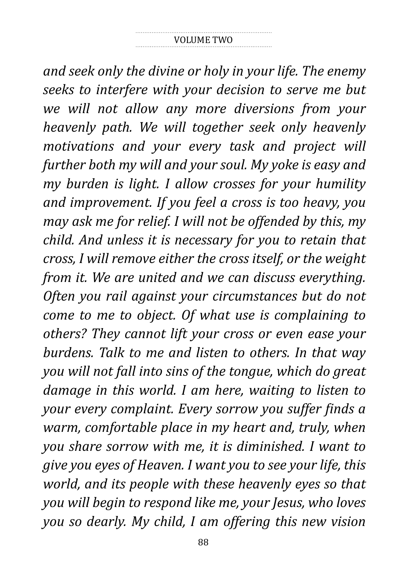*and seek only the divine or holy in your life. The enemy seeks to interfere with your decision to serve me but we will not allow any more diversions from your heavenly path. We will together seek only heavenly motivations and your every task and project will further both my will and your soul. My yoke is easy and my burden is light. I allow crosses for your humility and improvement. If you feel a cross is too heavy, you may ask me for relief. I will not be offended by this, my child. And unless it is necessary for you to retain that cross, I will remove either the cross itself, or the weight from it. We are united and we can discuss everything. Often you rail against your circumstances but do not come to me to object. Of what use is complaining to others? They cannot lift your cross or even ease your burdens. Talk to me and listen to others. In that way you will not fall into sins of the tongue, which do great damage in this world. I am here, waiting to listen to your every complaint. Every sorrow you suffer finds a warm, comfortable place in my heart and, truly, when you share sorrow with me, it is diminished. I want to give you eyes of Heaven. I want you to see your life, this world, and its people with these heavenly eyes so that you will begin to respond like me, your Jesus, who loves you so dearly. My child, I am offering this new vision*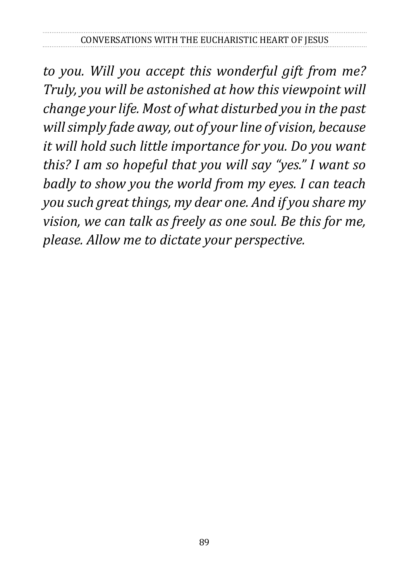*to you. Will you accept this wonderful gift from me? Truly, you will be astonished at how this viewpoint will change your life. Most of what disturbed you in the past will simply fade away, out of your line of vision, because it will hold such little importance for you. Do you want this? I am so hopeful that you will say "yes." I want so badly to show you the world from my eyes. I can teach you such great things, my dear one. And if you share my vision, we can talk as freely as one soul. Be this for me, please. Allow me to dictate your perspective.*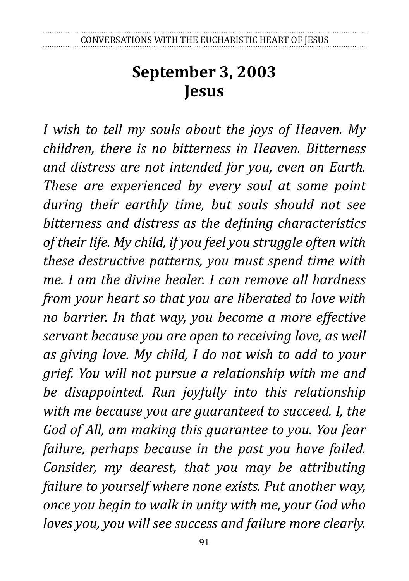## **September 3, 2003 Jesus**

*I wish to tell my souls about the joys of Heaven. My children, there is no bitterness in Heaven. Bitterness and distress are not intended for you, even on Earth. These are experienced by every soul at some point during their earthly time, but souls should not see bitterness and distress as the defining characteristics of their life. My child, if you feel you struggle often with these destructive patterns, you must spend time with me. I am the divine healer. I can remove all hardness from your heart so that you are liberated to love with no barrier. In that way, you become a more effective servant because you are open to receiving love, as well as giving love. My child, I do not wish to add to your grief. You will not pursue a relationship with me and be disappointed. Run joyfully into this relationship with me because you are guaranteed to succeed. I, the God of All, am making this guarantee to you. You fear failure, perhaps because in the past you have failed. Consider, my dearest, that you may be attributing failure to yourself where none exists. Put another way, once you begin to walk in unity with me, your God who loves you, you will see success and failure more clearly.*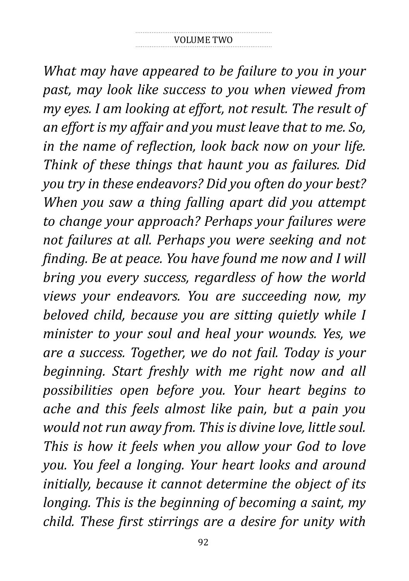*What may have appeared to be failure to you in your past, may look like success to you when viewed from my eyes. I am looking at effort, not result. The result of an effort is my affair and you must leave that to me. So, in the name of reflection, look back now on your life. Think of these things that haunt you as failures. Did you try in these endeavors? Did you often do your best? When you saw a thing falling apart did you attempt to change your approach? Perhaps your failures were not failures at all. Perhaps you were seeking and not finding. Be at peace. You have found me now and I will bring you every success, regardless of how the world views your endeavors. You are succeeding now, my beloved child, because you are sitting quietly while I minister to your soul and heal your wounds. Yes, we are a success. Together, we do not fail. Today is your beginning. Start freshly with me right now and all possibilities open before you. Your heart begins to ache and this feels almost like pain, but a pain you would not run away from. This is divine love, little soul. This is how it feels when you allow your God to love you. You feel a longing. Your heart looks and around initially, because it cannot determine the object of its longing. This is the beginning of becoming a saint, my child. These first stirrings are a desire for unity with*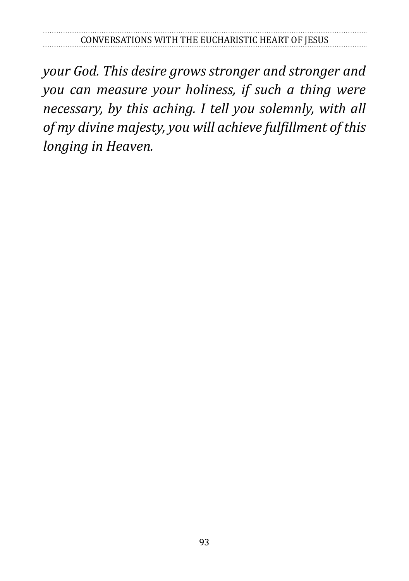*your God. This desire grows stronger and stronger and you can measure your holiness, if such a thing were necessary, by this aching. I tell you solemnly, with all of my divine majesty, you will achieve fulfillment of this longing in Heaven.*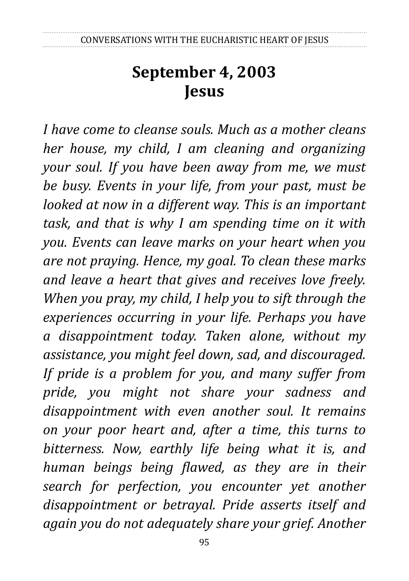## **September 4, 2003 Jesus**

*I have come to cleanse souls. Much as a mother cleans her house, my child, I am cleaning and organizing your soul. If you have been away from me, we must be busy. Events in your life, from your past, must be looked at now in a different way. This is an important task, and that is why I am spending time on it with you. Events can leave marks on your heart when you are not praying. Hence, my goal. To clean these marks and leave a heart that gives and receives love freely. When you pray, my child, I help you to sift through the experiences occurring in your life. Perhaps you have a disappointment today. Taken alone, without my assistance, you might feel down, sad, and discouraged. If pride is a problem for you, and many suffer from pride, you might not share your sadness and disappointment with even another soul. It remains on your poor heart and, after a time, this turns to bitterness. Now, earthly life being what it is, and human beings being flawed, as they are in their search for perfection, you encounter yet another disappointment or betrayal. Pride asserts itself and again you do not adequately share your grief. Another*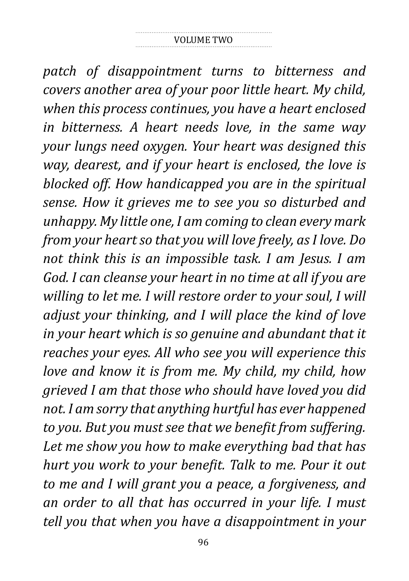*patch of disappointment turns to bitterness and covers another area of your poor little heart. My child, when this process continues, you have a heart enclosed in bitterness. A heart needs love, in the same way your lungs need oxygen. Your heart was designed this way, dearest, and if your heart is enclosed, the love is blocked off. How handicapped you are in the spiritual sense. How it grieves me to see you so disturbed and unhappy. My little one, I am coming to clean every mark from your heart so that you will love freely, as I love. Do not think this is an impossible task. I am Jesus. I am God. I can cleanse your heart in no time at all if you are willing to let me. I will restore order to your soul, I will adjust your thinking, and I will place the kind of love in your heart which is so genuine and abundant that it reaches your eyes. All who see you will experience this love and know it is from me. My child, my child, how grieved I am that those who should have loved you did not. I am sorry that anything hurtful has ever happened to you. But you must see that we benefit from suffering. Let me show you how to make everything bad that has hurt you work to your benefit. Talk to me. Pour it out to me and I will grant you a peace, a forgiveness, and an order to all that has occurred in your life. I must tell you that when you have a disappointment in your*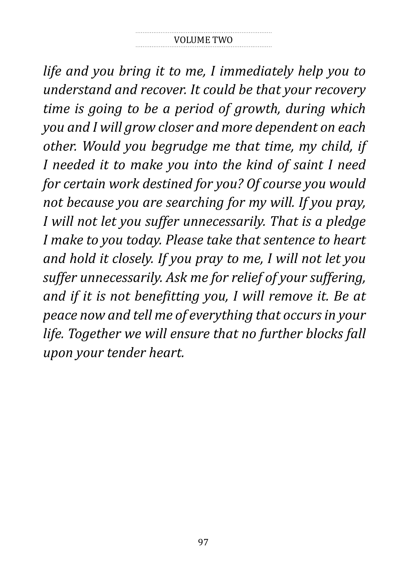#### volume two . . . . . . . . . . . . . . . . . . . .

*life and you bring it to me, I immediately help you to understand and recover. It could be that your recovery time is going to be a period of growth, during which you and I will grow closer and more dependent on each other. Would you begrudge me that time, my child, if I needed it to make you into the kind of saint I need for certain work destined for you? Of course you would not because you are searching for my will. If you pray, I will not let you suffer unnecessarily. That is a pledge I make to you today. Please take that sentence to heart and hold it closely. If you pray to me, I will not let you suffer unnecessarily. Ask me for relief of your suffering, and if it is not benefitting you, I will remove it. Be at peace now and tell me of everything that occurs in your life. Together we will ensure that no further blocks fall upon your tender heart.*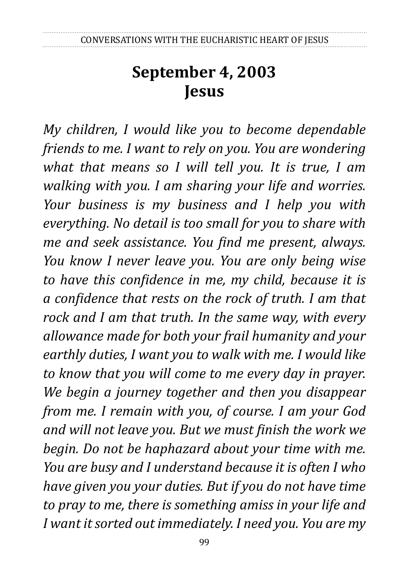# **September 4, 2003 Jesus**

*My children, I would like you to become dependable friends to me. I want to rely on you. You are wondering what that means so I will tell you. It is true, I am walking with you. I am sharing your life and worries. Your business is my business and I help you with everything. No detail is too small for you to share with me and seek assistance. You find me present, always. You know I never leave you. You are only being wise to have this confidence in me, my child, because it is a confidence that rests on the rock of truth. I am that rock and I am that truth. In the same way, with every allowance made for both your frail humanity and your earthly duties, I want you to walk with me. I would like to know that you will come to me every day in prayer. We begin a journey together and then you disappear from me. I remain with you, of course. I am your God and will not leave you. But we must finish the work we begin. Do not be haphazard about your time with me. You are busy and I understand because it is often I who have given you your duties. But if you do not have time to pray to me, there is something amiss in your life and I want it sorted out immediately. I need you. You are my*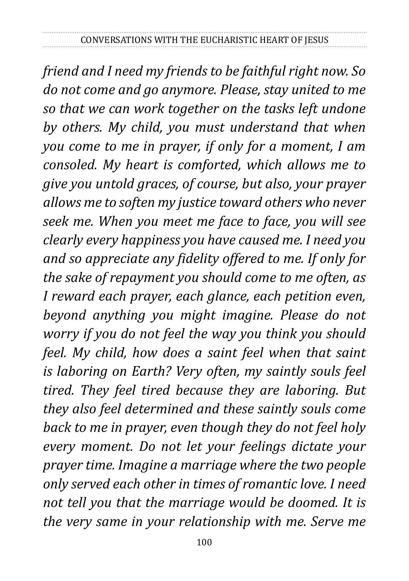*friend and I need my friends to be faithful right now. So do not come and go anymore. Please, stay united to me so that we can work together on the tasks left undone by others. My child, you must understand that when you come to me in prayer, if only for a moment, I am consoled. My heart is comforted, which allows me to give you untold graces, of course, but also, your prayer allows me to soften my justice toward others who never seek me. When you meet me face to face, you will see clearly every happiness you have caused me. I need you and so appreciate any fidelity offered to me. If only for the sake of repayment you should come to me often, as I reward each prayer, each glance, each petition even, beyond anything you might imagine. Please do not worry if you do not feel the way you think you should feel. My child, how does a saint feel when that saint is laboring on Earth? Very often, my saintly souls feel tired. They feel tired because they are laboring. But they also feel determined and these saintly souls come back to me in prayer, even though they do not feel holy every moment. Do not let your feelings dictate your prayer time. Imagine a marriage where the two people only served each other in times of romantic love. I need not tell you that the marriage would be doomed. It is the very same in your relationship with me. Serve me*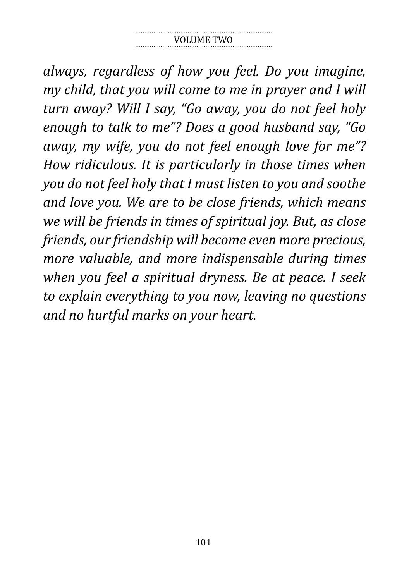#### volume two

*always, regardless of how you feel. Do you imagine, my child, that you will come to me in prayer and I will turn away? Will I say, "Go away, you do not feel holy enough to talk to me"? Does a good husband say, "Go away, my wife, you do not feel enough love for me"? How ridiculous. It is particularly in those times when you do not feel holy that I must listen to you and soothe and love you. We are to be close friends, which means we will be friends in times of spiritual joy. But, as close friends, our friendship will become even more precious, more valuable, and more indispensable during times when you feel a spiritual dryness. Be at peace. I seek to explain everything to you now, leaving no questions and no hurtful marks on your heart.*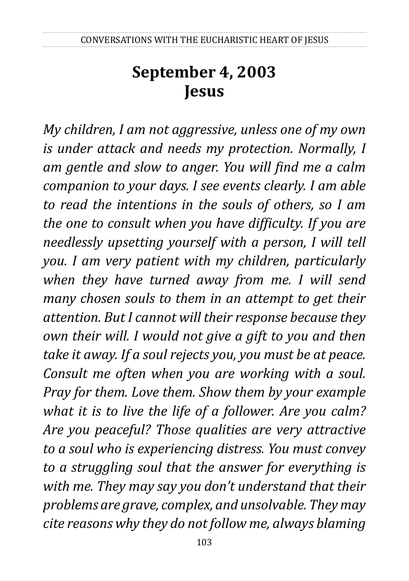# **September 4, 2003 Jesus**

*My children, I am not aggressive, unless one of my own is under attack and needs my protection. Normally, I am gentle and slow to anger. You will find me a calm companion to your days. I see events clearly. I am able to read the intentions in the souls of others, so I am the one to consult when you have difficulty. If you are needlessly upsetting yourself with a person, I will tell you. I am very patient with my children, particularly when they have turned away from me. I will send many chosen souls to them in an attempt to get their attention. But I cannot will their response because they own their will. I would not give a gift to you and then take it away. If a soul rejects you, you must be at peace. Consult me often when you are working with a soul. Pray for them. Love them. Show them by your example what it is to live the life of a follower. Are you calm? Are you peaceful? Those qualities are very attractive to a soul who is experiencing distress. You must convey to a struggling soul that the answer for everything is with me. They may say you don't understand that their problems are grave, complex, and unsolvable. They may cite reasons why they do not follow me, always blaming*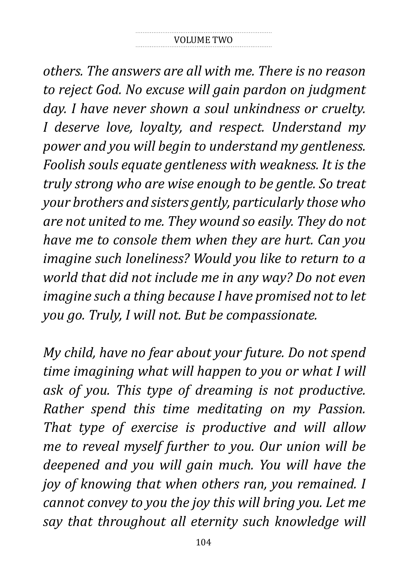*others. The answers are all with me. There is no reason to reject God. No excuse will gain pardon on judgment day. I have never shown a soul unkindness or cruelty. I deserve love, loyalty, and respect. Understand my power and you will begin to understand my gentleness. Foolish souls equate gentleness with weakness. It is the truly strong who are wise enough to be gentle. So treat your brothers and sisters gently, particularly those who are not united to me. They wound so easily. They do not have me to console them when they are hurt. Can you imagine such loneliness? Would you like to return to a world that did not include me in any way? Do not even imagine such a thing because I have promised not to let you go. Truly, I will not. But be compassionate.*

*My child, have no fear about your future. Do not spend time imagining what will happen to you or what I will ask of you. This type of dreaming is not productive. Rather spend this time meditating on my Passion. That type of exercise is productive and will allow me to reveal myself further to you. Our union will be deepened and you will gain much. You will have the joy of knowing that when others ran, you remained. I cannot convey to you the joy this will bring you. Let me say that throughout all eternity such knowledge will*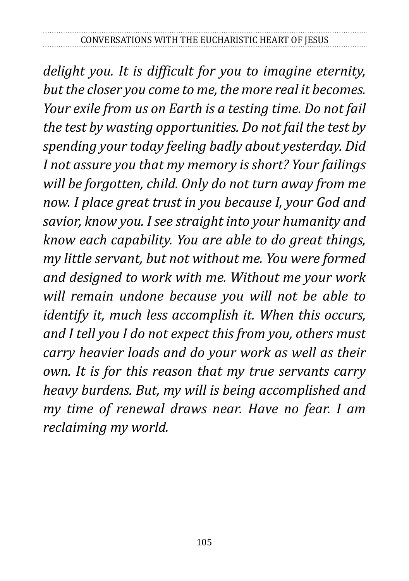*delight you. It is difficult for you to imagine eternity, but the closer you come to me, the more real it becomes. Your exile from us on Earth is a testing time. Do not fail the test by wasting opportunities. Do not fail the test by spending your today feeling badly about yesterday. Did I not assure you that my memory is short? Your failings will be forgotten, child. Only do not turn away from me now. I place great trust in you because I, your God and savior, know you. I see straight into your humanity and know each capability. You are able to do great things, my little servant, but not without me. You were formed and designed to work with me. Without me your work will remain undone because you will not be able to identify it, much less accomplish it. When this occurs, and I tell you I do not expect this from you, others must carry heavier loads and do your work as well as their own. It is for this reason that my true servants carry heavy burdens. But, my will is being accomplished and my time of renewal draws near. Have no fear. I am reclaiming my world.*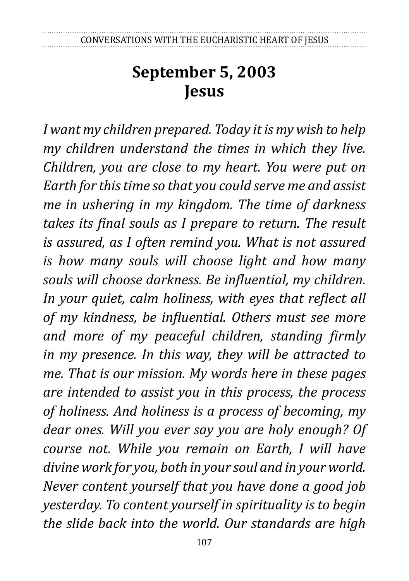# **September 5, 2003 Jesus**

*I want my children prepared. Today it is my wish to help my children understand the times in which they live. Children, you are close to my heart. You were put on Earth for this time so that you could serve me and assist me in ushering in my kingdom. The time of darkness takes its final souls as I prepare to return. The result is assured, as I often remind you. What is not assured is how many souls will choose light and how many souls will choose darkness. Be influential, my children. In your quiet, calm holiness, with eyes that reflect all of my kindness, be influential. Others must see more and more of my peaceful children, standing firmly in my presence. In this way, they will be attracted to me. That is our mission. My words here in these pages are intended to assist you in this process, the process of holiness. And holiness is a process of becoming, my dear ones. Will you ever say you are holy enough? Of course not. While you remain on Earth, I will have divine work for you, both in your soul and in your world. Never content yourself that you have done a good job yesterday. To content yourself in spirituality is to begin the slide back into the world. Our standards are high*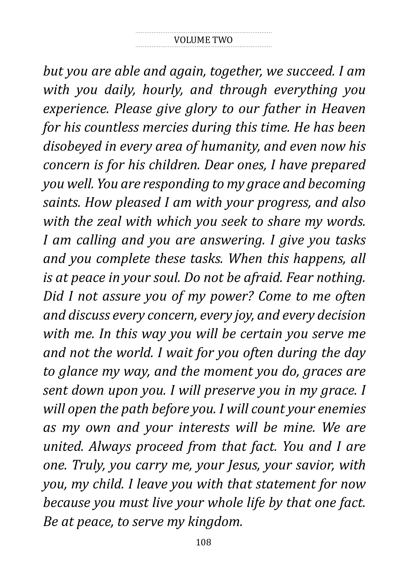*but you are able and again, together, we succeed. I am with you daily, hourly, and through everything you experience. Please give glory to our father in Heaven for his countless mercies during this time. He has been disobeyed in every area of humanity, and even now his concern is for his children. Dear ones, I have prepared you well. You are responding to my grace and becoming saints. How pleased I am with your progress, and also with the zeal with which you seek to share my words. I am calling and you are answering. I give you tasks and you complete these tasks. When this happens, all is at peace in your soul. Do not be afraid. Fear nothing. Did I not assure you of my power? Come to me often and discuss every concern, every joy, and every decision with me. In this way you will be certain you serve me and not the world. I wait for you often during the day to glance my way, and the moment you do, graces are sent down upon you. I will preserve you in my grace. I will open the path before you. I will count your enemies as my own and your interests will be mine. We are united. Always proceed from that fact. You and I are one. Truly, you carry me, your Jesus, your savior, with you, my child. I leave you with that statement for now because you must live your whole life by that one fact. Be at peace, to serve my kingdom.*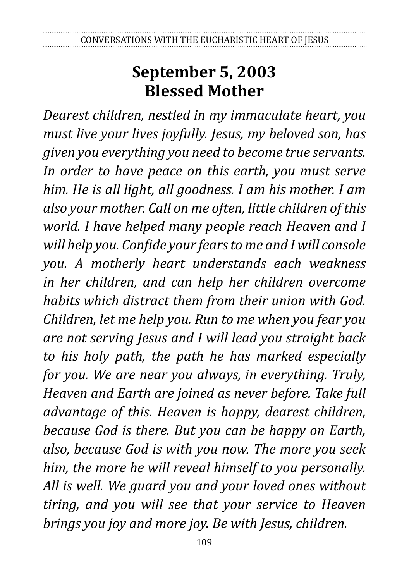# **September 5, 2003 Blessed Mother**

*Dearest children, nestled in my immaculate heart, you must live your lives joyfully. Jesus, my beloved son, has given you everything you need to become true servants. In order to have peace on this earth, you must serve him. He is all light, all goodness. I am his mother. I am also your mother. Call on me often, little children of this world. I have helped many people reach Heaven and I will help you. Confide your fears to me and I will console you. A motherly heart understands each weakness in her children, and can help her children overcome habits which distract them from their union with God. Children, let me help you. Run to me when you fear you are not serving Jesus and I will lead you straight back to his holy path, the path he has marked especially for you. We are near you always, in everything. Truly, Heaven and Earth are joined as never before. Take full advantage of this. Heaven is happy, dearest children, because God is there. But you can be happy on Earth, also, because God is with you now. The more you seek him, the more he will reveal himself to you personally. All is well. We guard you and your loved ones without tiring, and you will see that your service to Heaven brings you joy and more joy. Be with Jesus, children.*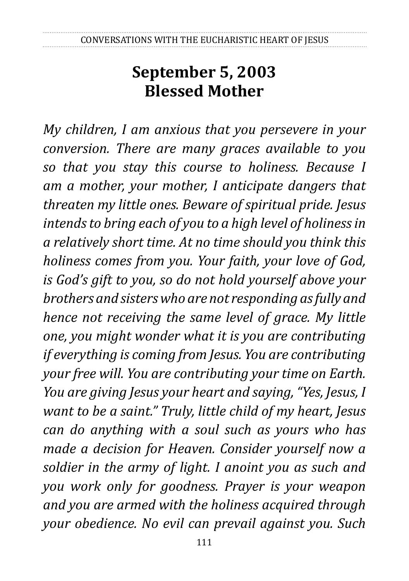# **September 5, 2003 Blessed Mother**

*My children, I am anxious that you persevere in your conversion. There are many graces available to you so that you stay this course to holiness. Because I am a mother, your mother, I anticipate dangers that threaten my little ones. Beware of spiritual pride. Jesus intends to bring each of you to a high level of holiness in a relatively short time. At no time should you think this holiness comes from you. Your faith, your love of God, is God's gift to you, so do not hold yourself above your brothers and sisters who are not responding as fully and hence not receiving the same level of grace. My little one, you might wonder what it is you are contributing if everything is coming from Jesus. You are contributing your free will. You are contributing your time on Earth. You are giving Jesus your heart and saying, "Yes, Jesus, I want to be a saint." Truly, little child of my heart, Jesus can do anything with a soul such as yours who has made a decision for Heaven. Consider yourself now a soldier in the army of light. I anoint you as such and you work only for goodness. Prayer is your weapon and you are armed with the holiness acquired through your obedience. No evil can prevail against you. Such*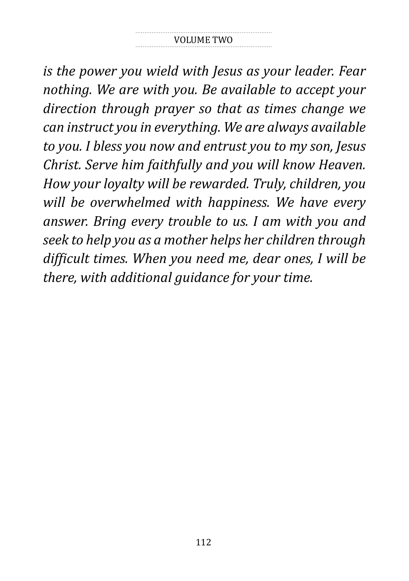#### volume two

*is the power you wield with Jesus as your leader. Fear nothing. We are with you. Be available to accept your direction through prayer so that as times change we can instruct you in everything. We are always available to you. I bless you now and entrust you to my son, Jesus Christ. Serve him faithfully and you will know Heaven. How your loyalty will be rewarded. Truly, children, you will be overwhelmed with happiness. We have every answer. Bring every trouble to us. I am with you and seek to help you as a mother helps her children through difficult times. When you need me, dear ones, I will be there, with additional guidance for your time.*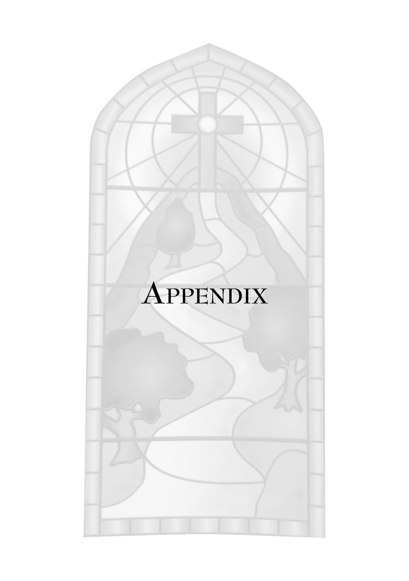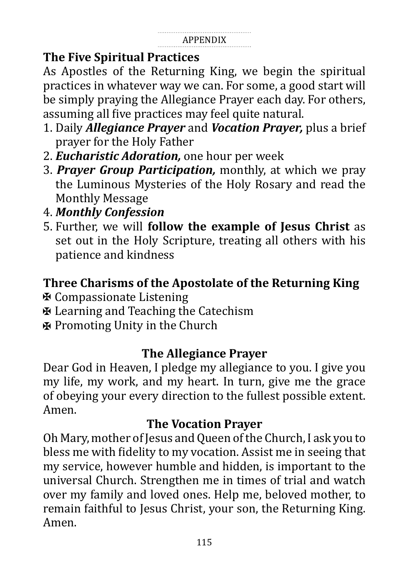## **The Five Spiritual Practices**

As Apostles of the Returning King, we begin the spiritual practices in whatever way we can. For some, a good start will be simply praying the Allegiance Prayer each day. For others, assuming all five practices may feel quite natural.

- 1. Daily *Allegiance Prayer* and *Vocation Prayer,* plus a brief prayer for the Holy Father
- 2. *Eucharistic Adoration,* one hour per week
- 3. *Prayer Group Participation,* monthly, at which we pray the Luminous Mysteries of the Holy Rosary and read the Monthly Message
- 4. *Monthly Confession*
- 5. Further, we will **follow the example of Jesus Christ** as set out in the Holy Scripture, treating all others with his patience and kindness

# **Three Charisms of the Apostolate of the Returning King**

- **E** Compassionate Listening
- Learning and Teaching the Catechism
- Promoting Unity in the Church

## **The Allegiance Prayer**

Dear God in Heaven, I pledge my allegiance to you. I give you my life, my work, and my heart. In turn, give me the grace of obeying your every direction to the fullest possible extent. Amen.

## **The Vocation Prayer**

Oh Mary, mother of Jesus and Queen of the Church, I ask you to bless me with fidelity to my vocation. Assist me in seeing that my service, however humble and hidden, is important to the universal Church. Strengthen me in times of trial and watch over my family and loved ones. Help me, beloved mother, to remain faithful to Jesus Christ, your son, the Returning King. Amen.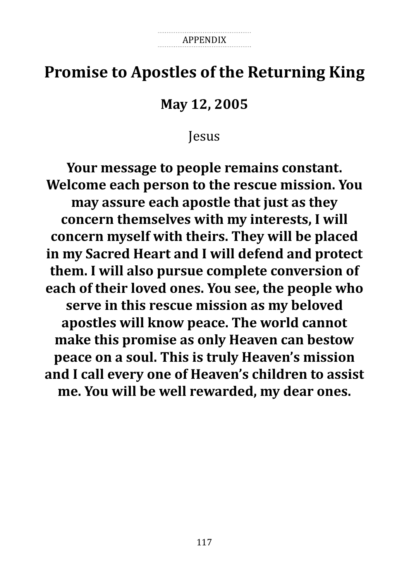# **Promise to Apostles of the Returning King**

# **May 12, 2005**

# Jesus

**Your message to people remains constant. Welcome each person to the rescue mission. You may assure each apostle that just as they concern themselves with my interests, I will concern myself with theirs. They will be placed in my Sacred Heart and I will defend and protect them. I will also pursue complete conversion of each of their loved ones. You see, the people who serve in this rescue mission as my beloved apostles will know peace. The world cannot make this promise as only Heaven can bestow peace on a soul. This is truly Heaven's mission and I call every one of Heaven's children to assist me. You will be well rewarded, my dear ones.**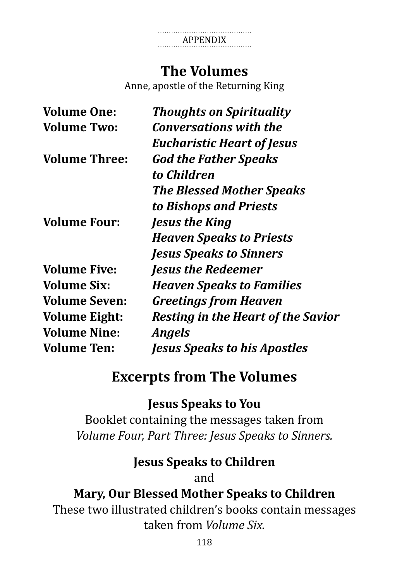#### appendix

# **The Volumes**

Anne, apostle of the Returning King

| <b>Volume One:</b>   | <b>Thoughts on Spirituality</b>           |
|----------------------|-------------------------------------------|
| <b>Volume Two:</b>   | <b>Conversations with the</b>             |
|                      | <b>Eucharistic Heart of Jesus</b>         |
| <b>Volume Three:</b> | <b>God the Father Speaks</b>              |
|                      | to Children                               |
|                      | <b>The Blessed Mother Speaks</b>          |
|                      | to Bishops and Priests                    |
| <b>Volume Four:</b>  | <b>Jesus the King</b>                     |
|                      | <b>Heaven Speaks to Priests</b>           |
|                      | <b>Jesus Speaks to Sinners</b>            |
| <b>Volume Five:</b>  | <b>Jesus the Redeemer</b>                 |
| <b>Volume Six:</b>   | <b>Heaven Speaks to Families</b>          |
| <b>Volume Seven:</b> | <b>Greetings from Heaven</b>              |
| <b>Volume Eight:</b> | <b>Resting in the Heart of the Savior</b> |
| <b>Volume Nine:</b>  | <b>Angels</b>                             |
| <b>Volume Ten:</b>   | <b>Jesus Speaks to his Apostles</b>       |

# **Excerpts from The Volumes**

**Jesus Speaks to You**

Booklet containing the messages taken from *Volume Four, Part Three: Jesus Speaks to Sinners.*

### **Jesus Speaks to Children**

and

### **Mary, Our Blessed Mother Speaks to Children**

These two illustrated children's books contain messages taken from *Volume Six.*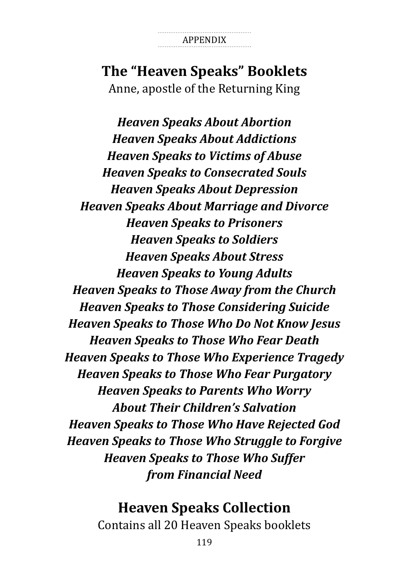

# **The "Heaven Speaks" Booklets** Anne, apostle of the Returning King

*Heaven Speaks About Abortion Heaven Speaks About Addictions Heaven Speaks to Victims of Abuse Heaven Speaks to Consecrated Souls Heaven Speaks About Depression Heaven Speaks About Marriage and Divorce Heaven Speaks to Prisoners Heaven Speaks to Soldiers Heaven Speaks About Stress Heaven Speaks to Young Adults Heaven Speaks to Those Away from the Church Heaven Speaks to Those Considering Suicide Heaven Speaks to Those Who Do Not Know Jesus Heaven Speaks to Those Who Fear Death Heaven Speaks to Those Who Experience Tragedy Heaven Speaks to Those Who Fear Purgatory Heaven Speaks to Parents Who Worry About Their Children's Salvation Heaven Speaks to Those Who Have Rejected God Heaven Speaks to Those Who Struggle to Forgive Heaven Speaks to Those Who Suffer from Financial Need*

### **Heaven Speaks Collection**

Contains all 20 Heaven Speaks booklets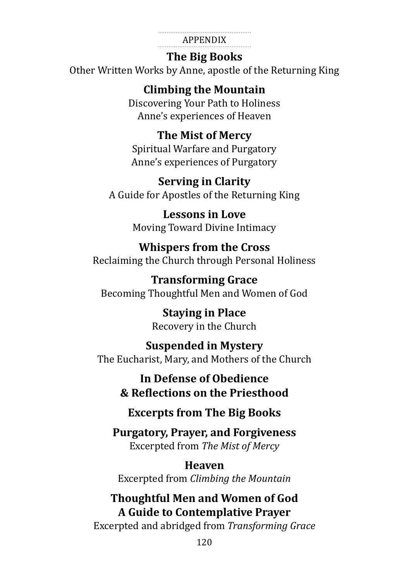appendix

**The Big Books** Other Written Works by Anne, apostle of the Returning King

#### **Climbing the Mountain** Discovering Your Path to Holiness

Anne's experiences of Heaven

### **The Mist of Mercy**

Spiritual Warfare and Purgatory Anne's experiences of Purgatory

**Serving in Clarity** A Guide for Apostles of the Returning King

# **Lessons in Love**

Moving Toward Divine Intimacy

#### **Whispers from the Cross**

Reclaiming the Church through Personal Holiness

#### **Transforming Grace** Becoming Thoughtful Men and Women of God

#### **Staying in Place** Recovery in the Church

# **Suspended in Mystery**

The Eucharist, Mary, and Mothers of the Church

**In Defense of Obedience & Reflections on the Priesthood**

### **Excerpts from The Big Books**

**Purgatory, Prayer, and Forgiveness**  Excerpted from *The Mist of Mercy*

**Heaven**  Excerpted from *Climbing the Mountain*

### **Thoughtful Men and Women of God A Guide to Contemplative Prayer**

Excerpted and abridged from *Transforming Grace*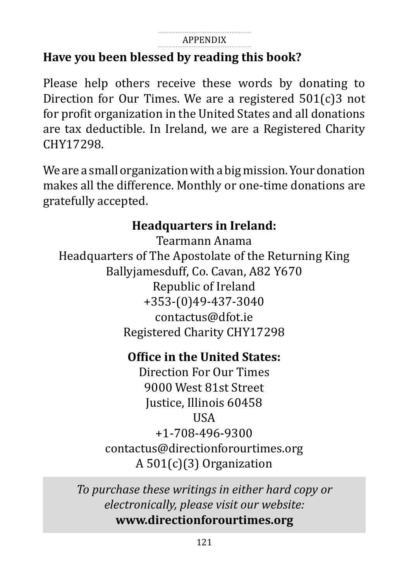# APPENDIX

# **Have you been blessed by reading this book?**

Please help others receive these words by donating to Direction for Our Times. We are a registered 501(c)3 not for profit organization in the United States and all donations are tax deductible. In Ireland, we are a Registered Charity CHY17298.

We are a small organization with a big mission. Your donation makes all the difference. Monthly or one-time donations are gratefully accepted.

# **Headquarters in Ireland:**

Tearmann Anama Headquarters of The Apostolate of the Returning King Ballyjamesduff, Co. Cavan, A82 Y670 Republic of Ireland +353-(0)49-437-3040 contactus@dfot.ie Registered Charity CHY17298

## **Office in the United States:**

Direction For Our Times 9000 West 81st Street Justice, Illinois 60458 USA +1-708-496-9300 contactus@directionforourtimes.org A 501(c)(3) Organization

*To purchase these writings in either hard copy or electronically, please visit our website:* **www.directionforourtimes.org**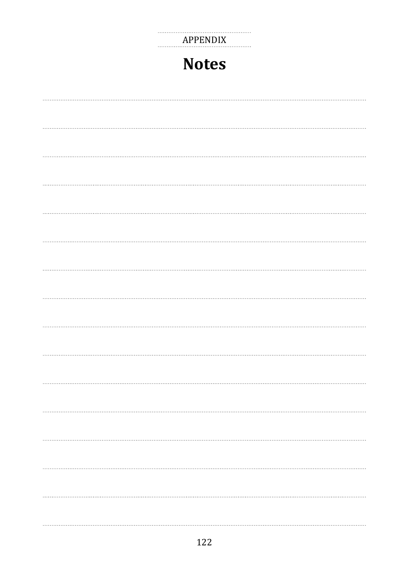| <b>APPENDIX</b><br>. |
|----------------------|
| <b>Notes</b>         |
|                      |
|                      |
|                      |
|                      |
|                      |
|                      |
|                      |
|                      |
|                      |
|                      |
|                      |
|                      |
|                      |
|                      |
|                      |
|                      |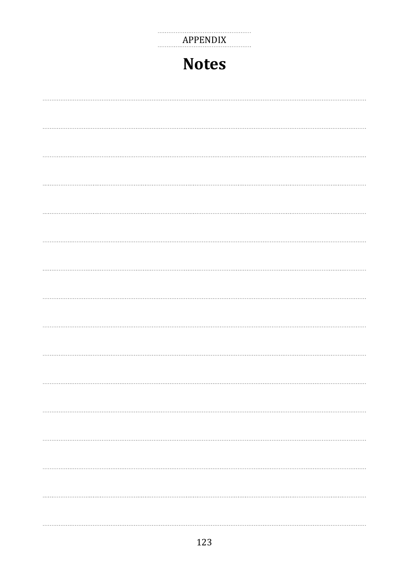| APPENDIX<br>. |
|---------------|
| <b>Notes</b>  |
|               |
|               |
|               |
|               |
|               |
|               |
|               |
|               |
|               |
|               |
|               |
|               |
|               |
|               |
|               |
|               |